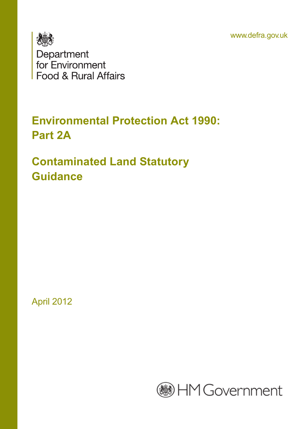[www.defra.gov.uk](http://www.defra.gov.uk)



# **Environmental Protection Act 1990: Part 2A**

**Contaminated Land Statutory Guidance** 

April 2012

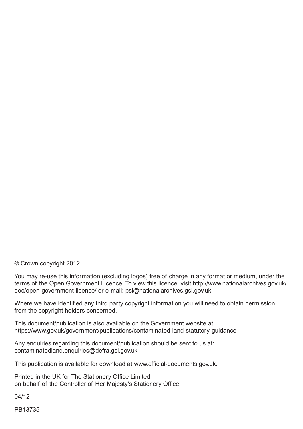© Crown copyright 2012

You may re-use this information (excluding logos) free of charge in any format or medium, under the terms of the Open Government Licence. To view this licence, visit [http://www.nationalarchives.gov.uk/](http://www.nationalarchives.gov.uk/doc/open-government-licence/) [doc/open-government-licence/ or](http://www.nationalarchives.gov.uk/doc/open-government-licence/) e-mail: [psi@nationalarchives.gsi.gov.uk.](mailto:psi@nationalarchives.gsi.gov.uk)

Where we have identified any third party copyright information you will need to obtain permission from the copyright holders concerned.

This document/publication is also available on the Government website at: <https://www.gov.uk/government/publications/contaminated-land-statutory-guidance>

Any enquiries regarding this document/publication should be sent to us at: [contaminatedland.enquiries@defra.gsi.gov.uk](mailto:contaminatedland.enquiries@defra.gsi.gov.uk)

This publication is available for download at [www.official-documents.gov.uk.](http://www.official-documents.gov.uk)

Printed in the UK for The Stationery Office Limited on behalf of the Controller of Her Majesty's Stationery Office

04/12

PB13735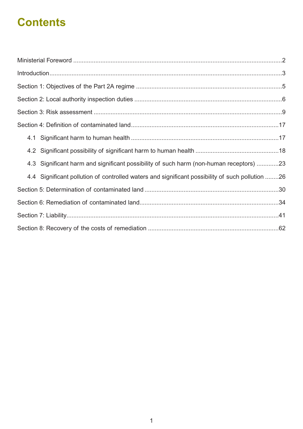# **Contents**

| 4.3 Significant harm and significant possibility of such harm (non-human receptors) 23          |  |
|-------------------------------------------------------------------------------------------------|--|
| 4.4 Significant pollution of controlled waters and significant possibility of such pollution 26 |  |
|                                                                                                 |  |
|                                                                                                 |  |
|                                                                                                 |  |
|                                                                                                 |  |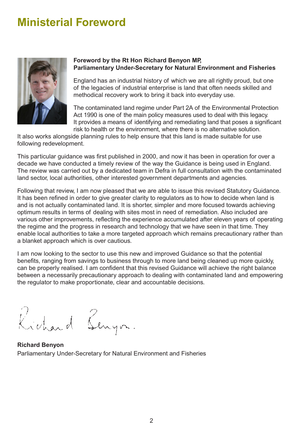## <span id="page-3-0"></span>**Ministerial Foreword**



#### **Foreword by the Rt Hon Richard Benyon MP, Parliamentary Under-Secretary for Natural Environment and Fisheries**

England has an industrial history of which we are all rightly proud, but one of the legacies of industrial enterprise is land that often needs skilled and methodical recovery work to bring it back into everyday use.

The contaminated land regime under Part 2A of the Environmental Protection Act 1990 is one of the main policy measures used to deal with this legacy. It provides a means of identifying and remediating land that poses a significant risk to health or the environment, where there is no alternative solution.

It also works alongside planning rules to help ensure that this land is made suitable for use following redevelopment.

This particular guidance was first published in 2000, and now it has been in operation for over a decade we have conducted a timely review of the way the Guidance is being used in England. The review was carried out by a dedicated team in Defra in full consultation with the contaminated land sector, local authorities, other interested government departments and agencies.

Following that review, I am now pleased that we are able to issue this revised Statutory Guidance. It has been refined in order to give greater clarity to regulators as to how to decide when land is and is not actually contaminated land. It is shorter, simpler and more focused towards achieving optimum results in terms of dealing with sites most in need of remediation. Also included are various other improvements, reflecting the experience accumulated after eleven years of operating the regime and the progress in research and technology that we have seen in that time. They enable local authorities to take a more targeted approach which remains precautionary rather than a blanket approach which is over cautious.

I am now looking to the sector to use this new and improved Guidance so that the potential benefits, ranging from savings to business through to more land being cleaned up more quickly, can be properly realised. I am confident that this revised Guidance will achieve the right balance between a necessarily precautionary approach to dealing with contaminated land and empowering the regulator to make proportionate, clear and accountable decisions.

Richard Lengon.

**Richard Benyon** Parliamentary Under-Secretary for Natural Environment and Fisheries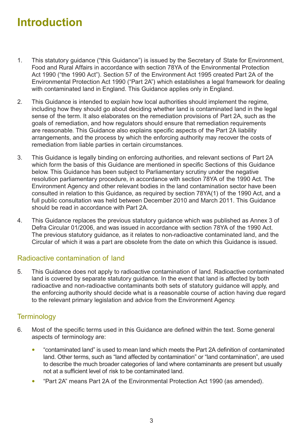# <span id="page-4-0"></span>**Introduction**

- 1. This statutory guidance ("this Guidance") is issued by the Secretary of State for Environment, Food and Rural Affairs in accordance with section 78YA of the Environmental Protection Act 1990 ("the 1990 Act"). Section 57 of the Environment Act 1995 created Part 2A of the Environmental Protection Act 1990 ("Part 2A") which establishes a legal framework for dealing with contaminated land in England. This Guidance applies only in England.
- 2. This Guidance is intended to explain how local authorities should implement the regime, including how they should go about deciding whether land is contaminated land in the legal sense of the term. It also elaborates on the remediation provisions of Part 2A, such as the goals of remediation, and how regulators should ensure that remediation requirements are reasonable. This Guidance also explains specific aspects of the Part 2A liability arrangements, and the process by which the enforcing authority may recover the costs of remediation from liable parties in certain circumstances.
- 3. This Guidance is legally binding on enforcing authorities, and relevant sections of Part 2A which form the basis of this Guidance are mentioned in specific Sections of this Guidance below. This Guidance has been subject to Parliamentary scrutiny under the negative resolution parliamentary procedure, in accordance with section 78YA of the 1990 Act. The Environment Agency and other relevant bodies in the land contamination sector have been consulted in relation to this Guidance, as required by section 78YA(1) of the 1990 Act, and a full public consultation was held between December 2010 and March 2011. This Guidance should be read in accordance with Part 2A.
- 4. This Guidance replaces the previous statutory guidance which was published as Annex 3 of Defra Circular 01/2006, and was issued in accordance with section 78YA of the 1990 Act. The previous statutory guidance, as it relates to non-radioactive contaminated land, and the Circular of which it was a part are obsolete from the date on which this Guidance is issued.

## Radioactive contamination of land

5. This Guidance does not apply to radioactive contamination of land. Radioactive contaminated land is covered by separate statutory guidance. In the event that land is affected by both radioactive and non-radioactive contaminants both sets of statutory guidance will apply, and the enforcing authority should decide what is a reasonable course of action having due regard to the relevant primary legislation and advice from the Environment Agency.

## **Terminology**

- 6. Most of the specific terms used in this Guidance are defined within the text. Some general aspects of terminology are:
	- "contaminated land" is used to mean land which meets the Part 2A definition of contaminated land. Other terms, such as "land affected by contamination" or "land contamination", are used to describe the much broader categories of land where contaminants are present but usually not at a sufficient level of risk to be contaminated land.
	- "Part 2A" means Part 2A of the Environmental Protection Act 1990 (as amended).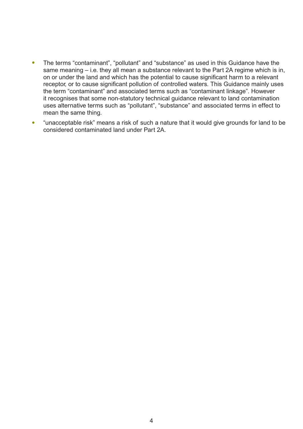- <span id="page-5-0"></span>• The terms "contaminant", "pollutant" and "substance" as used in this Guidance have the same meaning – i.e. they all mean a substance relevant to the Part 2A regime which is in, on or under the land and which has the potential to cause significant harm to a relevant receptor, or to cause significant pollution of controlled waters. This Guidance mainly uses the term "contaminant" and associated terms such as "contaminant linkage". However it recognises that some non-statutory technical guidance relevant to land contamination uses alternative terms such as "pollutant", "substance" and associated terms in effect to mean the same thing.
- "unacceptable risk" means a risk of such a nature that it would give grounds for land to be considered contaminated land under Part 2A.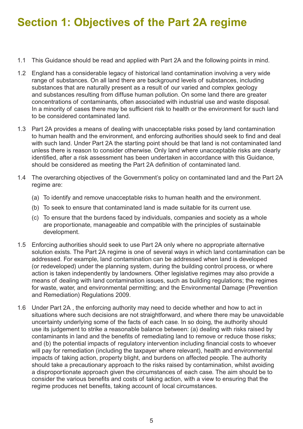# **Section 1: Objectives of the Part 2A regime**

- 1.1 This Guidance should be read and applied with Part 2A and the following points in mind.
- 1.2 England has a considerable legacy of historical land contamination involving a very wide range of substances. On all land there are background levels of substances, including substances that are naturally present as a result of our varied and complex geology and substances resulting from diffuse human pollution. On some land there are greater concentrations of contaminants, often associated with industrial use and waste disposal. In a minority of cases there may be sufficient risk to health or the environment for such land to be considered contaminated land.
- 1.3 Part 2A provides a means of dealing with unacceptable risks posed by land contamination to human health and the environment, and enforcing authorities should seek to find and deal with such land. Under Part 2A the starting point should be that land is not contaminated land unless there is reason to consider otherwise. Only land where unacceptable risks are clearly identified, after a risk assessment has been undertaken in accordance with this Guidance, should be considered as meeting the Part 2A definition of contaminated land.
- 1.4 The overarching objectives of the Government's policy on contaminated land and the Part 2A regime are:
	- (a) To identify and remove unacceptable risks to human health and the environment.
	- (b) To seek to ensure that contaminated land is made suitable for its current use.
	- (c) To ensure that the burdens faced by individuals, companies and society as a whole are proportionate, manageable and compatible with the principles of sustainable development.
- 1.5 Enforcing authorities should seek to use Part 2A only where no appropriate alternative solution exists. The Part 2A regime is one of several ways in which land contamination can be addressed. For example, land contamination can be addressed when land is developed (or redeveloped) under the planning system, during the building control process, or where action is taken independently by landowners. Other legislative regimes may also provide a means of dealing with land contamination issues, such as building regulations; the regimes for waste, water, and environmental permitting; and the Environmental Damage (Prevention and Remediation) Regulations 2009.
- 1.6 Under Part 2A , the enforcing authority may need to decide whether and how to act in situations where such decisions are not straightforward, and where there may be unavoidable uncertainty underlying some of the facts of each case. In so doing, the authority should use its judgement to strike a reasonable balance between: (a) dealing with risks raised by contaminants in land and the benefits of remediating land to remove or reduce those risks; and (b) the potential impacts of regulatory intervention including financial costs to whoever will pay for remediation (including the taxpayer where relevant), health and environmental impacts of taking action, property blight, and burdens on affected people. The authority should take a precautionary approach to the risks raised by contamination, whilst avoiding a disproportionate approach given the circumstances of each case. The aim should be to consider the various benefits and costs of taking action, with a view to ensuring that the regime produces net benefits, taking account of local circumstances.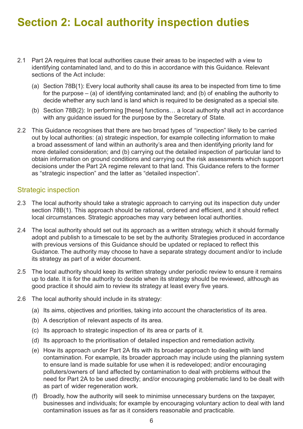# <span id="page-7-0"></span>**Section 2: Local authority inspection duties**

- 2.1 Part 2A requires that local authorities cause their areas to be inspected with a view to identifying contaminated land, and to do this in accordance with this Guidance. Relevant sections of the Act include:
	- (a) Section 78B(1): Every local authority shall cause its area to be inspected from time to time for the purpose  $-$  (a) of identifying contaminated land; and (b) of enabling the authority to decide whether any such land is land which is required to be designated as a special site.
	- (b) Section 78B(2): In performing [these] functions… a local authority shall act in accordance with any guidance issued for the purpose by the Secretary of State.
- 2.2 This Guidance recognises that there are two broad types of "inspection" likely to be carried out by local authorities: (a) strategic inspection, for example collecting information to make a broad assessment of land within an authority's area and then identifying priority land for more detailed consideration; and (b) carrying out the detailed inspection of particular land to obtain information on ground conditions and carrying out the risk assessments which support decisions under the Part 2A regime relevant to that land. This Guidance refers to the former as "strategic inspection" and the latter as "detailed inspection".

### Strategic inspection

- 2.3 The local authority should take a strategic approach to carrying out its inspection duty under section 78B(1). This approach should be rational, ordered and efficient, and it should reflect local circumstances. Strategic approaches may vary between local authorities.
- 2.4 The local authority should set out its approach as a written strategy, which it should formally adopt and publish to a timescale to be set by the authority. Strategies produced in accordance with previous versions of this Guidance should be updated or replaced to reflect this Guidance. The authority may choose to have a separate strategy document and/or to include its strategy as part of a wider document.
- 2.5 The local authority should keep its written strategy under periodic review to ensure it remains up to date. It is for the authority to decide when its strategy should be reviewed, although as good practice it should aim to review its strategy at least every five years.
- 2.6 The local authority should include in its strategy:
	- (a) Its aims, objectives and priorities, taking into account the characteristics of its area.
	- (b) A description of relevant aspects of its area.
	- (c) Its approach to strategic inspection of its area or parts of it.
	- (d) Its approach to the prioritisation of detailed inspection and remediation activity.
	- (e) How its approach under Part 2A fits with its broader approach to dealing with land contamination. For example, its broader approach may include using the planning system to ensure land is made suitable for use when it is redeveloped; and/or encouraging polluters/owners of land affected by contamination to deal with problems without the need for Part 2A to be used directly; and/or encouraging problematic land to be dealt with as part of wider regeneration work.
	- (f) Broadly, how the authority will seek to minimise unnecessary burdens on the taxpayer, businesses and individuals; for example by encouraging voluntary action to deal with land contamination issues as far as it considers reasonable and practicable.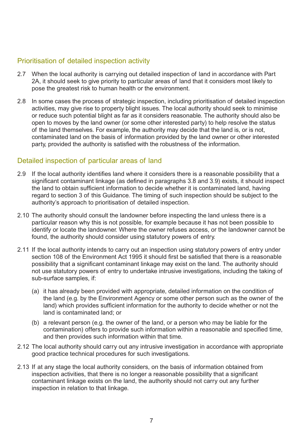## Prioritisation of detailed inspection activity

- 2.7 When the local authority is carrying out detailed inspection of land in accordance with Part 2A, it should seek to give priority to particular areas of land that it considers most likely to pose the greatest risk to human health or the environment.
- 2.8 In some cases the process of strategic inspection, including prioritisation of detailed inspection activities, may give rise to property blight issues. The local authority should seek to minimise or reduce such potential blight as far as it considers reasonable. The authority should also be open to moves by the land owner (or some other interested party) to help resolve the status of the land themselves. For example, the authority may decide that the land is, or is not, contaminated land on the basis of information provided by the land owner or other interested party, provided the authority is satisfied with the robustness of the information.

## Detailed inspection of particular areas of land

- 2.9 If the local authority identifies land where it considers there is a reasonable possibility that a significant contaminant linkage (as defined in paragraphs 3.8 and 3.9) exists, it should inspect the land to obtain sufficient information to decide whether it is contaminated land, having regard to section 3 of this Guidance. The timing of such inspection should be subject to the authority's approach to prioritisation of detailed inspection.
- 2.10 The authority should consult the landowner before inspecting the land unless there is a particular reason why this is not possible, for example because it has not been possible to identify or locate the landowner. Where the owner refuses access, or the landowner cannot be found, the authority should consider using statutory powers of entry.
- 2.11 If the local authority intends to carry out an inspection using statutory powers of entry under section 108 of the Environment Act 1995 it should first be satisfied that there is a reasonable possibility that a significant contaminant linkage may exist on the land. The authority should not use statutory powers of entry to undertake intrusive investigations, including the taking of sub-surface samples, if:
	- (a) it has already been provided with appropriate, detailed information on the condition of the land (e.g. by the Environment Agency or some other person such as the owner of the land) which provides sufficient information for the authority to decide whether or not the land is contaminated land; or
	- (b) a relevant person (e.g. the owner of the land, or a person who may be liable for the contamination) offers to provide such information within a reasonable and specified time, and then provides such information within that time.
- 2.12 The local authority should carry out any intrusive investigation in accordance with appropriate good practice technical procedures for such investigations.
- 2.13 If at any stage the local authority considers, on the basis of information obtained from inspection activities, that there is no longer a reasonable possibility that a significant contaminant linkage exists on the land, the authority should not carry out any further inspection in relation to that linkage.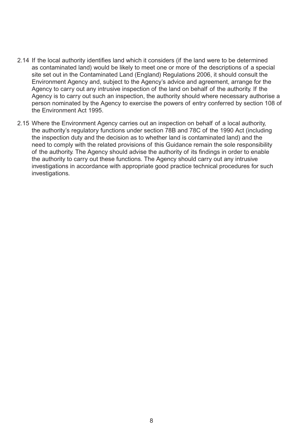- <span id="page-9-0"></span>2.14 If the local authority identifies land which it considers (if the land were to be determined as contaminated land) would be likely to meet one or more of the descriptions of a special site set out in the Contaminated Land (England) Regulations 2006, it should consult the Environment Agency and, subject to the Agency's advice and agreement, arrange for the Agency to carry out any intrusive inspection of the land on behalf of the authority. If the Agency is to carry out such an inspection, the authority should where necessary authorise a person nominated by the Agency to exercise the powers of entry conferred by section 108 of the Environment Act 1995.
- 2.15 Where the Environment Agency carries out an inspection on behalf of a local authority, the authority's regulatory functions under section 78B and 78C of the 1990 Act (including the inspection duty and the decision as to whether land is contaminated land) and the need to comply with the related provisions of this Guidance remain the sole responsibility of the authority. The Agency should advise the authority of its findings in order to enable the authority to carry out these functions. The Agency should carry out any intrusive investigations in accordance with appropriate good practice technical procedures for such investigations.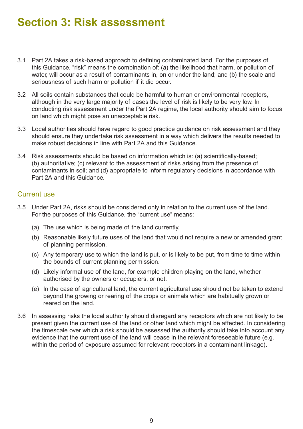# **Section 3: Risk assessment**

- 3.1 Part 2A takes a risk-based approach to defining contaminated land. For the purposes of this Guidance, "risk" means the combination of: (a) the likelihood that harm, or pollution of water, will occur as a result of contaminants in, on or under the land; and (b) the scale and seriousness of such harm or pollution if it did occur.
- 3.2 All soils contain substances that could be harmful to human or environmental receptors, although in the very large majority of cases the level of risk is likely to be very low. In conducting risk assessment under the Part 2A regime, the local authority should aim to focus on land which might pose an unacceptable risk.
- 3.3 Local authorities should have regard to good practice guidance on risk assessment and they should ensure they undertake risk assessment in a way which delivers the results needed to make robust decisions in line with Part 2A and this Guidance.
- 3.4 Risk assessments should be based on information which is: (a) scientifically-based; (b) authoritative; (c) relevant to the assessment of risks arising from the presence of contaminants in soil; and (d) appropriate to inform regulatory decisions in accordance with Part 2A and this Guidance.

## Current use

- 3.5 Under Part 2A, risks should be considered only in relation to the current use of the land. For the purposes of this Guidance, the "current use" means:
	- (a) The use which is being made of the land currently.
	- (b) Reasonable likely future uses of the land that would not require a new or amended grant of planning permission.
	- (c) Any temporary use to which the land is put, or is likely to be put, from time to time within the bounds of current planning permission.
	- (d) Likely informal use of the land, for example children playing on the land, whether authorised by the owners or occupiers, or not.
	- (e) In the case of agricultural land, the current agricultural use should not be taken to extend beyond the growing or rearing of the crops or animals which are habitually grown or reared on the land.
- 3.6 In assessing risks the local authority should disregard any receptors which are not likely to be present given the current use of the land or other land which might be affected. In considering the timescale over which a risk should be assessed the authority should take into account any evidence that the current use of the land will cease in the relevant foreseeable future (e.g. within the period of exposure assumed for relevant receptors in a contaminant linkage).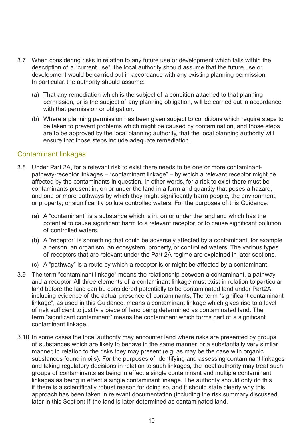- 3.7 When considering risks in relation to any future use or development which falls within the description of a "current use", the local authority should assume that the future use or development would be carried out in accordance with any existing planning permission. In particular, the authority should assume:
	- (a) That any remediation which is the subject of a condition attached to that planning permission, or is the subject of any planning obligation, will be carried out in accordance with that permission or obligation.
	- (b) Where a planning permission has been given subject to conditions which require steps to be taken to prevent problems which might be caused by contamination, and those steps are to be approved by the local planning authority, that the local planning authority will ensure that those steps include adequate remediation.

## Contaminant linkages

- 3.8 Under Part 2A, for a relevant risk to exist there needs to be one or more contaminantpathway-receptor linkages – "contaminant linkage" – by which a relevant receptor might be affected by the contaminants in question. In other words, for a risk to exist there must be contaminants present in, on or under the land in a form and quantity that poses a hazard, and one or more pathways by which they might significantly harm people, the environment, or property; or significantly pollute controlled waters. For the purposes of this Guidance:
	- (a) A "contaminant" is a substance which is in, on or under the land and which has the potential to cause significant harm to a relevant receptor, or to cause significant pollution of controlled waters.
	- (b) A "receptor" is something that could be adversely affected by a contaminant, for example a person, an organism, an ecosystem, property, or controlled waters. The various types of receptors that are relevant under the Part 2A regime are explained in later sections.
	- (c) A "pathway" is a route by which a receptor is or might be affected by a contaminant.
- 3.9 The term "contaminant linkage" means the relationship between a contaminant, a pathway and a receptor. All three elements of a contaminant linkage must exist in relation to particular land before the land can be considered potentially to be contaminated land under Part2A, including evidence of the actual presence of contaminants. The term "significant contaminant linkage", as used in this Guidance, means a contaminant linkage which gives rise to a level of risk sufficient to justify a piece of land being determined as contaminated land. The term "significant contaminant" means the contaminant which forms part of a significant contaminant linkage.
- 3.10 In some cases the local authority may encounter land where risks are presented by groups of substances which are likely to behave in the same manner, or a substantially very similar manner, in relation to the risks they may present (e.g. as may be the case with organic substances found in oils). For the purposes of identifying and assessing contaminant linkages and taking regulatory decisions in relation to such linkages, the local authority may treat such groups of contaminants as being in effect a single contaminant and multiple contaminant linkages as being in effect a single contaminant linkage. The authority should only do this if there is a scientifically robust reason for doing so, and it should state clearly why this approach has been taken in relevant documentation (including the risk summary discussed later in this Section) if the land is later determined as contaminated land.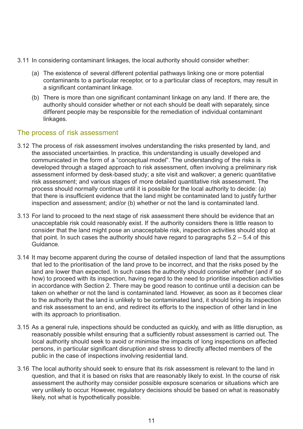- 3.11 In considering contaminant linkages, the local authority should consider whether:
	- (a) The existence of several different potential pathways linking one or more potential contaminants to a particular receptor, or to a particular class of receptors, may result in a significant contaminant linkage.
	- (b) There is more than one significant contaminant linkage on any land. If there are, the authority should consider whether or not each should be dealt with separately, since different people may be responsible for the remediation of individual contaminant linkages.

## The process of risk assessment

- 3.12 The process of risk assessment involves understanding the risks presented by land, and the associated uncertainties. In practice, this understanding is usually developed and communicated in the form of a "conceptual model". The understanding of the risks is developed through a staged approach to risk assessment, often involving a preliminary risk assessment informed by desk-based study; a site visit and walkover; a generic quantitative risk assessment; and various stages of more detailed quantitative risk assessment. The process should normally continue until it is possible for the local authority to decide: (a) that there is insufficient evidence that the land might be contaminated land to justify further inspection and assessment; and/or (b) whether or not the land is contaminated land.
- 3.13 For land to proceed to the next stage of risk assessment there should be evidence that an unacceptable risk could reasonably exist. If the authority considers there is little reason to consider that the land might pose an unacceptable risk, inspection activities should stop at that point. In such cases the authority should have regard to paragraphs 5.2 – 5.4 of this Guidance.
- 3.14 It may become apparent during the course of detailed inspection of land that the assumptions that led to the prioritisation of the land prove to be incorrect, and that the risks posed by the land are lower than expected. In such cases the authority should consider whether (and if so how) to proceed with its inspection, having regard to the need to prioritise inspection activities in accordance with Section 2. There may be good reason to continue until a decision can be taken on whether or not the land is contaminated land. However, as soon as it becomes clear to the authority that the land is unlikely to be contaminated land, it should bring its inspection and risk assessment to an end, and redirect its efforts to the inspection of other land in line with its approach to prioritisation.
- 3.15 As a general rule, inspections should be conducted as quickly, and with as little disruption, as reasonably possible whilst ensuring that a sufficiently robust assessment is carried out. The local authority should seek to avoid or minimise the impacts of long inspections on affected persons, in particular significant disruption and stress to directly affected members of the public in the case of inspections involving residential land.
- 3.16 The local authority should seek to ensure that its risk assessment is relevant to the land in question, and that it is based on risks that are reasonably likely to exist. In the course of risk assessment the authority may consider possible exposure scenarios or situations which are very unlikely to occur. However, regulatory decisions should be based on what is reasonably likely, not what is hypothetically possible.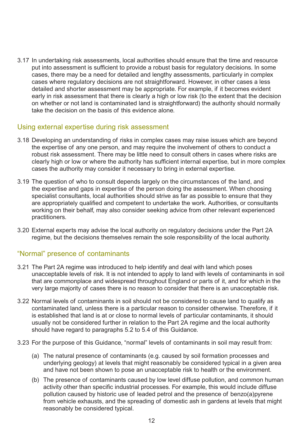3.17 In undertaking risk assessments, local authorities should ensure that the time and resource put into assessment is sufficient to provide a robust basis for regulatory decisions. In some cases, there may be a need for detailed and lengthy assessments, particularly in complex cases where regulatory decisions are not straightforward. However, in other cases a less detailed and shorter assessment may be appropriate. For example, if it becomes evident early in risk assessment that there is clearly a high or low risk (to the extent that the decision on whether or not land is contaminated land is straightforward) the authority should normally take the decision on the basis of this evidence alone.

## Using external expertise during risk assessment

- 3.18 Developing an understanding of risks in complex cases may raise issues which are beyond the expertise of any one person, and may require the involvement of others to conduct a robust risk assessment. There may be little need to consult others in cases where risks are clearly high or low or where the authority has sufficient internal expertise, but in more complex cases the authority may consider it necessary to bring in external expertise.
- 3.19 The question of who to consult depends largely on the circumstances of the land, and the expertise and gaps in expertise of the person doing the assessment. When choosing specialist consultants, local authorities should strive as far as possible to ensure that they are appropriately qualified and competent to undertake the work. Authorities, or consultants working on their behalf, may also consider seeking advice from other relevant experienced practitioners.
- 3.20 External experts may advise the local authority on regulatory decisions under the Part 2A regime, but the decisions themselves remain the sole responsibility of the local authority.

## "Normal" presence of contaminants

- 3.21 The Part 2A regime was introduced to help identify and deal with land which poses unacceptable levels of risk. It is not intended to apply to land with levels of contaminants in soil that are commonplace and widespread throughout England or parts of it, and for which in the very large majority of cases there is no reason to consider that there is an unacceptable risk.
- 3.22 Normal levels of contaminants in soil should not be considered to cause land to qualify as contaminated land, unless there is a particular reason to consider otherwise. Therefore, if it is established that land is at or close to normal levels of particular contaminants, it should usually not be considered further in relation to the Part 2A regime and the local authority should have regard to paragraphs 5.2 to 5.4 of this Guidance.
- 3.23 For the purpose of this Guidance, "normal" levels of contaminants in soil may result from:
	- (a) The natural presence of contaminants (e.g. caused by soil formation processes and underlying geology) at levels that might reasonably be considered typical in a given area and have not been shown to pose an unacceptable risk to health or the environment.
	- (b) The presence of contaminants caused by low level diffuse pollution, and common human activity other than specific industrial processes. For example, this would include diffuse pollution caused by historic use of leaded petrol and the presence of benzo(a)pyrene from vehicle exhausts, and the spreading of domestic ash in gardens at levels that might reasonably be considered typical.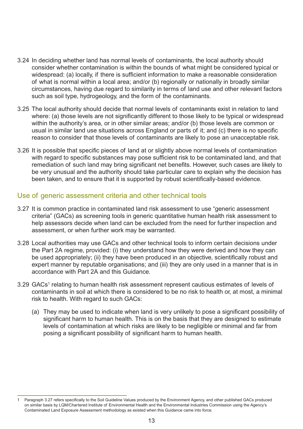- 3.24 In deciding whether land has normal levels of contaminants, the local authority should consider whether contamination is within the bounds of what might be considered typical or widespread: (a) locally, if there is sufficient information to make a reasonable consideration of what is normal within a local area; and/or (b) regionally or nationally in broadly similar circumstances, having due regard to similarity in terms of land use and other relevant factors such as soil type, hydrogeology, and the form of the contaminants.
- 3.25 The local authority should decide that normal levels of contaminants exist in relation to land where: (a) those levels are not significantly different to those likely to be typical or widespread within the authority's area, or in other similar areas; and/or (b) those levels are common or usual in similar land use situations across England or parts of it; and (c) there is no specific reason to consider that those levels of contaminants are likely to pose an unacceptable risk.
- 3.26 It is possible that specific pieces of land at or slightly above normal levels of contamination with regard to specific substances may pose sufficient risk to be contaminated land, and that remediation of such land may bring significant net benefits. However, such cases are likely to be very unusual and the authority should take particular care to explain why the decision has been taken, and to ensure that it is supported by robust scientifically-based evidence.

## Use of generic assessment criteria and other technical tools

- 3.27 It is common practice in contaminated land risk assessment to use "generic assessment criteria" (GACs) as screening tools in generic quantitative human health risk assessment to help assessors decide when land can be excluded from the need for further inspection and assessment, or when further work may be warranted.
- 3.28 Local authorities may use GACs and other technical tools to inform certain decisions under the Part 2A regime, provided: (i) they understand how they were derived and how they can be used appropriately; (ii) they have been produced in an objective, scientifically robust and expert manner by reputable organisations; and (iii) they are only used in a manner that is in accordance with Part 2A and this Guidance.
- 3.29 GACs<sup>1</sup> relating to human health risk assessment represent cautious estimates of levels of contaminants in soil at which there is considered to be no risk to health or, at most, a minimal risk to health. With regard to such GACs:
	- (a) They may be used to indicate when land is very unlikely to pose a significant possibility of significant harm to human health. This is on the basis that they are designed to estimate levels of contamination at which risks are likely to be negligible or minimal and far from posing a significant possibility of significant harm to human health.

<sup>1</sup> Paragraph 3.27 refers specifically to the Soil Guideline Values produced by the Environment Agency, and other published GACs produced on similar basis by LQM/Chartered Institute of Environmental Health and the Environmental Industries Commission using the Agency's Contaminated Land Exposure Assessment methodology as existed when this Guidance came into force.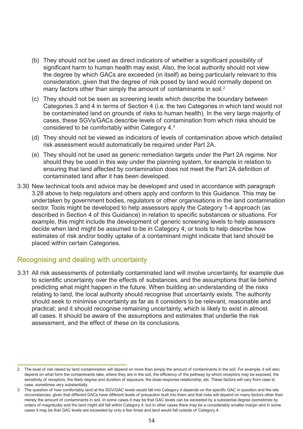- (b) They should not be used as direct indicators of whether a significant possibility of significant harm to human health may exist. Also, the local authority should not view the degree by which GACs are exceeded (in itself) as being particularly relevant to this consideration, given that the degree of risk posed by land would normally depend on many factors other than simply the amount of contaminants in soil.<sup>2</sup>
- (c) They should not be seen as screening levels which describe the boundary between Categories 3 and 4 in terms of Section 4 (i.e. the two Categories in which land would not be contaminated land on grounds of risks to human health). In the very large majority of cases, these SGVs/GACs describe levels of contamination from which risks should be considered to be comfortably within Category 4.3
- (d) They should not be viewed as indicators of levels of contamination above which detailed risk assessment would automatically be required under Part 2A.
- (e) They should not be used as generic remediation targets under the Part 2A regime. Nor should they be used in this way under the planning system, for example in relation to ensuring that land affected by contamination does not meet the Part 2A definition of contaminated land after it has been developed.
- 3.30 New technical tools and advice may be developed and used in accordance with paragraph 3.28 above to help regulators and others apply and conform to this Guidance. This may be undertaken by government bodies, regulators or other organisations in the land contamination sector. Tools might be developed to help assessors apply the Category 1-4 approach (as described in Section 4 of this Guidance) in relation to specific substances or situations. For example, this might include the development of generic screening levels to help assessors decide when land might be assumed to be in Category 4; or tools to help describe how estimates of risk and/or bodily uptake of a contaminant might indicate that land should be placed within certain Categories.

## Recognising and dealing with uncertainty

3.31 All risk assessments of potentially contaminated land will involve uncertainty, for example due to scientific uncertainty over the effects of substances, and the assumptions that lie behind predicting what might happen in the future. When building an understanding of the risks relating to land, the local authority should recognise that uncertainty exists. The authority should seek to minimise uncertainty as far as it considers to be relevant, reasonable and practical; and it should recognise remaining uncertainty, which is likely to exist in almost all cases. It should be aware of the assumptions and estimates that underlie the risk assessment, and the effect of these on its conclusions.

<sup>2</sup> The level of risk raised by land contamination will depend on more than simply the amount of contaminants in the soil. For example, it will also depend on what form the contaminants take, where they are in the soil, the efficiency of the pathway by which receptors may be exposed, the sensitivity of receptors, the likely degree and duration of exposure, the dose-response relationship, etc. These factors will vary from case to case, sometimes very substantially.

<sup>3</sup> The question of how comfortably land at the SGV/GAC levels would fall into Category 4 depends on the specific GAC in question and the site circumstances, given that different GACs have different levels of precaution built into them and that risks will depend on many factors other than merely the amount of contaminants in soil. In some cases it may be that GAC levels can be exceeded by a substantial degree (sometimes by orders of magnitude) and the land might still fall within Category 4, but in other cases there may be a considerably smaller margin and in some cases it may be that GAC levels are exceeded by only a few times and land would fall outside of Category 4.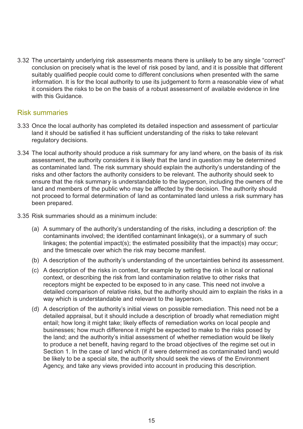3.32 The uncertainty underlying risk assessments means there is unlikely to be any single "correct" conclusion on precisely what is the level of risk posed by land, and it is possible that different suitably qualified people could come to different conclusions when presented with the same information. It is for the local authority to use its judgement to form a reasonable view of what it considers the risks to be on the basis of a robust assessment of available evidence in line with this Guidance.

## Risk summaries

- 3.33 Once the local authority has completed its detailed inspection and assessment of particular land it should be satisfied it has sufficient understanding of the risks to take relevant regulatory decisions.
- 3.34 The local authority should produce a risk summary for any land where, on the basis of its risk assessment, the authority considers it is likely that the land in question may be determined as contaminated land. The risk summary should explain the authority's understanding of the risks and other factors the authority considers to be relevant. The authority should seek to ensure that the risk summary is understandable to the layperson, including the owners of the land and members of the public who may be affected by the decision. The authority should not proceed to formal determination of land as contaminated land unless a risk summary has been prepared.
- 3.35 Risk summaries should as a minimum include:
	- (a) A summary of the authority's understanding of the risks, including a description of: the contaminants involved; the identified contaminant linkage(s), or a summary of such linkages; the potential impact(s); the estimated possibility that the impact(s) may occur; and the timescale over which the risk may become manifest.
	- (b) A description of the authority's understanding of the uncertainties behind its assessment.
	- (c) A description of the risks in context, for example by setting the risk in local or national context, or describing the risk from land contamination relative to other risks that receptors might be expected to be exposed to in any case. This need not involve a detailed comparison of relative risks, but the authority should aim to explain the risks in a way which is understandable and relevant to the layperson.
	- (d) A description of the authority's initial views on possible remediation. This need not be a detailed appraisal, but it should include a description of broadly what remediation might entail; how long it might take; likely effects of remediation works on local people and businesses; how much difference it might be expected to make to the risks posed by the land; and the authority's initial assessment of whether remediation would be likely to produce a net benefit, having regard to the broad objectives of the regime set out in Section 1. In the case of land which (if it were determined as contaminated land) would be likely to be a special site, the authority should seek the views of the Environment Agency, and take any views provided into account in producing this description.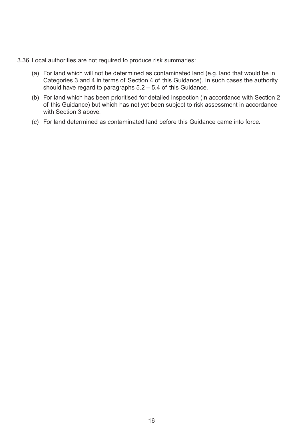- 3.36 Local authorities are not required to produce risk summaries:
	- (a) For land which will not be determined as contaminated land (e.g. land that would be in Categories 3 and 4 in terms of Section 4 of this Guidance). In such cases the authority should have regard to paragraphs 5.2 – 5.4 of this Guidance.
	- (b) For land which has been prioritised for detailed inspection (in accordance with Section 2 of this Guidance) but which has not yet been subject to risk assessment in accordance with Section 3 above.
	- (c) For land determined as contaminated land before this Guidance came into force.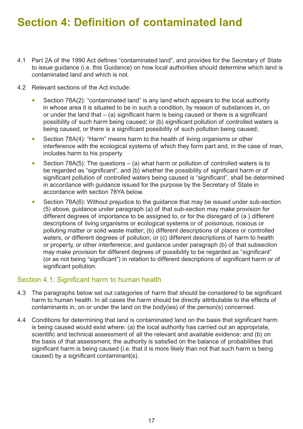# **Section 4: Definition of contaminated land**

- 4.1 Part 2A of the 1990 Act defines "contaminated land", and provides for the Secretary of State to issue guidance (i.e. this Guidance) on how local authorities should determine which land is contaminated land and which is not.
- 4.2 Relevant sections of the Act include:
	- Section 78A(2): "contaminated land" is any land which appears to the local authority in whose area it is situated to be in such a condition, by reason of substances in, on or under the land that – (a) significant harm is being caused or there is a significant possibility of such harm being caused; or (b) significant pollution of controlled waters is being caused, or there is a significant possibility of such pollution being caused;
	- Section 78A(4): "Harm" means harm to the health of living organisms or other interference with the ecological systems of which they form part and, in the case of man, includes harm to his property.
	- Section 78A(5): The questions  $-$  (a) what harm or pollution of controlled waters is to be regarded as "significant", and (b) whether the possibility of significant harm or of significant pollution of controlled waters being caused is "significant", shall be determined in accordance with guidance issued for the purpose by the Secretary of State in accordance with section 78YA below.
	- Section 78A(6): Without prejudice to the guidance that may be issued under sub-section (5) above, guidance under paragraph (a) of that sub-section may make provision for different degrees of importance to be assigned to, or for the disregard of (a ) different descriptions of living organisms or ecological systems or of poisonous, noxious or polluting matter or solid waste matter; (b) different descriptions of places or controlled waters, or different degrees of pollution; or (c) different descriptions of harm to health or property, or other interference; and guidance under paragraph (b) of that subsection may make provision for different degrees of possibility to be regarded as "significant" (or as not being "significant") in relation to different descriptions of significant harm or of significant pollution.

## Section 4.1: Significant harm to human health

- 4.3 The paragraphs below set out categories of harm that should be considered to be significant harm to human health. In all cases the harm should be directly attributable to the effects of contaminants in, on or under the land on the body(ies) of the person(s) concerned.
- 4.4 Conditions for determining that land is contaminated land on the basis that significant harm is being caused would exist where: (a) the local authority has carried out an appropriate, scientific and technical assessment of all the relevant and available evidence; and (b) on the basis of that assessment, the authority is satisfied on the balance of probabilities that significant harm is being caused (i.e. that it is more likely than not that such harm is being caused) by a significant contaminant(s).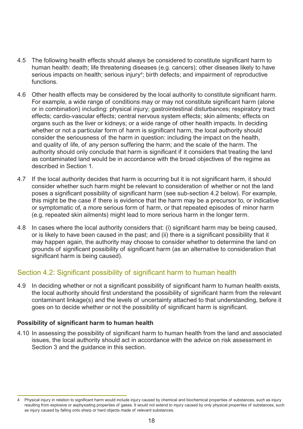- <span id="page-19-0"></span>4.5 The following health effects should always be considered to constitute significant harm to human health: death; life threatening diseases (e.g. cancers); other diseases likely to have serious impacts on health; serious injury<sup>4</sup>; birth defects; and impairment of reproductive functions.
- 4.6 Other health effects may be considered by the local authority to constitute significant harm. For example, a wide range of conditions may or may not constitute significant harm (alone or in combination) including: physical injury; gastrointestinal disturbances; respiratory tract effects; cardio-vascular effects; central nervous system effects; skin ailments; effects on organs such as the liver or kidneys; or a wide range of other health impacts. In deciding whether or not a particular form of harm is significant harm, the local authority should consider the seriousness of the harm in question: including the impact on the health, and quality of life, of any person suffering the harm; and the scale of the harm. The authority should only conclude that harm is significant if it considers that treating the land as contaminated land would be in accordance with the broad objectives of the regime as described in Section 1.
- 4.7 If the local authority decides that harm is occurring but it is not significant harm, it should consider whether such harm might be relevant to consideration of whether or not the land poses a significant possibility of significant harm (see sub-section 4.2 below). For example, this might be the case if there is evidence that the harm may be a precursor to, or indicative or symptomatic of, a more serious form of harm, or that repeated episodes of minor harm (e.g. repeated skin ailments) might lead to more serious harm in the longer term.
- 4.8 In cases where the local authority considers that: (i) significant harm may be being caused, or is likely to have been caused in the past; and (ii) there is a significant possibility that it may happen again, the authority may choose to consider whether to determine the land on grounds of significant possibility of significant harm (as an alternative to consideration that significant harm is being caused).

## Section 4.2: Significant possibility of significant harm to human health

4.9 In deciding whether or not a significant possibility of significant harm to human health exists, the local authority should first understand the possibility of significant harm from the relevant contaminant linkage(s) and the levels of uncertainty attached to that understanding, before it goes on to decide whether or not the possibility of significant harm is significant.

## **Possibility of significant harm to human health**

4.10 In assessing the possibility of significant harm to human health from the land and associated issues, the local authority should act in accordance with the advice on risk assessment in Section 3 and the guidance in this section.

Physical injury in relation to significant harm would include injury caused by chemical and biochemical properties of substances, such as injury resulting from explosive or asphyxiating properties of gases. It would not extend to injury caused by only physical properties of substances, such as injury caused by falling onto sharp or hard objects made of relevant substances.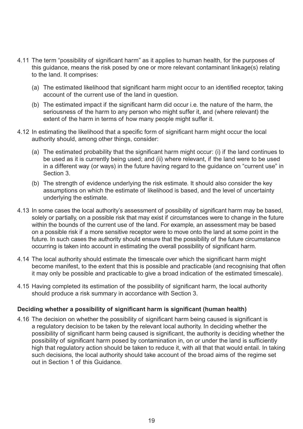- <span id="page-20-0"></span>4.11 The term "possibility of significant harm" as it applies to human health, for the purposes of this guidance, means the risk posed by one or more relevant contaminant linkage(s) relating to the land. It comprises:
	- (a) The estimated likelihood that significant harm might occur to an identified receptor, taking account of the current use of the land in question.
	- (b) The estimated impact if the significant harm did occur i.e. the nature of the harm, the seriousness of the harm to any person who might suffer it, and (where relevant) the extent of the harm in terms of how many people might suffer it.
- 4.12 In estimating the likelihood that a specific form of significant harm might occur the local authority should, among other things, consider:
	- (a) The estimated probability that the significant harm might occur: (i) if the land continues to be used as it is currently being used; and (ii) where relevant, if the land were to be used in a different way (or ways) in the future having regard to the guidance on "current use" in Section 3.
	- (b) The strength of evidence underlying the risk estimate. It should also consider the key assumptions on which the estimate of likelihood is based, and the level of uncertainty underlying the estimate.
- 4.13 In some cases the local authority's assessment of possibility of significant harm may be based, solely or partially, on a possible risk that may exist if circumstances were to change in the future within the bounds of the current use of the land. For example, an assessment may be based on a possible risk if a more sensitive receptor were to move onto the land at some point in the future. In such cases the authority should ensure that the possibility of the future circumstance occurring is taken into account in estimating the overall possibility of significant harm.
- 4.14 The local authority should estimate the timescale over which the significant harm might become manifest, to the extent that this is possible and practicable (and recognising that often it may only be possible and practicable to give a broad indication of the estimated timescale).
- 4.15 Having completed its estimation of the possibility of significant harm, the local authority should produce a risk summary in accordance with Section 3.

### **Deciding whether a possibility of significant harm is significant (human health)**

4.16 The decision on whether the possibility of significant harm being caused is significant is a regulatory decision to be taken by the relevant local authority. In deciding whether the possibility of significant harm being caused is significant, the authority is deciding whether the possibility of significant harm posed by contamination in, on or under the land is sufficiently high that regulatory action should be taken to reduce it, with all that that would entail. In taking such decisions, the local authority should take account of the broad aims of the regime set out in Section 1 of this Guidance.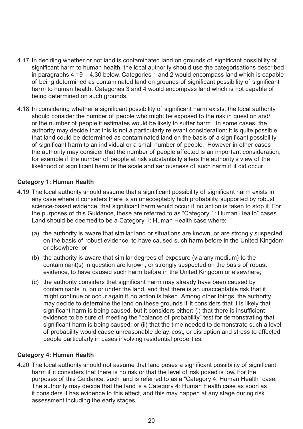- 4.17 In deciding whether or not land is contaminated land on grounds of significant possibility of significant harm to human health, the local authority should use the categorisations described in paragraphs 4.19 – 4.30 below. Categories 1 and 2 would encompass land which is capable of being determined as contaminated land on grounds of significant possibility of significant harm to human health. Categories 3 and 4 would encompass land which is not capable of being determined on such grounds.
- 4.18 In considering whether a significant possibility of significant harm exists, the local authority should consider the number of people who might be exposed to the risk in question and/ or the number of people it estimates would be likely to suffer harm. In some cases, the authority may decide that this is not a particularly relevant consideration: it is quite possible that land could be determined as contaminated land on the basis of a significant possibility of significant harm to an individual or a small number of people. However in other cases the authority may consider that the number of people affected is an important consideration, for example if the number of people at risk substantially alters the authority's view of the likelihood of significant harm or the scale and seriousness of such harm if it did occur.

### **Category 1: Human Health**

- 4.19 The local authority should assume that a significant possibility of significant harm exists in any case where it considers there is an unacceptably high probability, supported by robust science-based evidence, that significant harm would occur if no action is taken to stop it. For the purposes of this Guidance, these are referred to as "Category 1: Human Health" cases. Land should be deemed to be a Category 1: Human Health case where:
	- (a) the authority is aware that similar land or situations are known, or are strongly suspected on the basis of robust evidence, to have caused such harm before in the United Kingdom or elsewhere; or
	- (b) the authority is aware that similar degrees of exposure (via any medium) to the contaminant(s) in question are known, or strongly suspected on the basis of robust evidence, to have caused such harm before in the United Kingdom or elsewhere;
	- (c) the authority considers that significant harm may already have been caused by contaminants in, on or under the land, and that there is an unacceptable risk that it might continue or occur again if no action is taken. Among other things, the authority may decide to determine the land on these grounds if it considers that it is likely that significant harm is being caused, but it considers either: (i) that there is insufficient evidence to be sure of meeting the "balance of probability" test for demonstrating that significant harm is being caused; or (ii) that the time needed to demonstrate such a level of probability would cause unreasonable delay, cost, or disruption and stress to affected people particularly in cases involving residential properties.

### **Category 4: Human Health**

4.20 The local authority should not assume that land poses a significant possibility of significant harm if it considers that there is no risk or that the level of risk posed is low. For the purposes of this Guidance, such land is referred to as a "Category 4: Human Health" case. The authority may decide that the land is a Category 4: Human Health case as soon as it considers it has evidence to this effect, and this may happen at any stage during risk assessment including the early stages.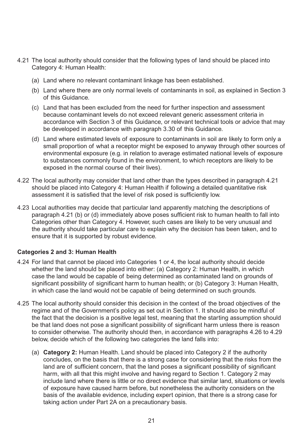- 4.21 The local authority should consider that the following types of land should be placed into Category 4: Human Health:
	- (a) Land where no relevant contaminant linkage has been established.
	- (b) Land where there are only normal levels of contaminants in soil, as explained in Section 3 of this Guidance.
	- (c) Land that has been excluded from the need for further inspection and assessment because contaminant levels do not exceed relevant generic assessment criteria in accordance with Section 3 of this Guidance, or relevant technical tools or advice that may be developed in accordance with paragraph 3.30 of this Guidance.
	- (d) Land where estimated levels of exposure to contaminants in soil are likely to form only a small proportion of what a receptor might be exposed to anyway through other sources of environmental exposure (e.g. in relation to average estimated national levels of exposure to substances commonly found in the environment, to which receptors are likely to be exposed in the normal course of their lives).
- 4.22 The local authority may consider that land other than the types described in paragraph 4.21 should be placed into Category 4: Human Health if following a detailed quantitative risk assessment it is satisfied that the level of risk posed is sufficiently low.
- 4.23 Local authorities may decide that particular land apparently matching the descriptions of paragraph 4.21 (b) or (d) immediately above poses sufficient risk to human health to fall into Categories other than Category 4. However, such cases are likely to be very unusual and the authority should take particular care to explain why the decision has been taken, and to ensure that it is supported by robust evidence.

## **Categories 2 and 3: Human Health**

- 4.24 For land that cannot be placed into Categories 1 or 4, the local authority should decide whether the land should be placed into either: (a) Category 2: Human Health, in which case the land would be capable of being determined as contaminated land on grounds of significant possibility of significant harm to human health; or (b) Category 3: Human Health, in which case the land would not be capable of being determined on such grounds.
- 4.25 The local authority should consider this decision in the context of the broad objectives of the regime and of the Government's policy as set out in Section 1. It should also be mindful of the fact that the decision is a positive legal test, meaning that the starting assumption should be that land does not pose a significant possibility of significant harm unless there is reason to consider otherwise. The authority should then, in accordance with paragraphs 4.26 to 4.29 below, decide which of the following two categories the land falls into:
	- (a) **Category 2:** Human Health. Land should be placed into Category 2 if the authority concludes, on the basis that there is a strong case for considering that the risks from the land are of sufficient concern, that the land poses a significant possibility of significant harm, with all that this might involve and having regard to Section 1. Category 2 may include land where there is little or no direct evidence that similar land, situations or levels of exposure have caused harm before, but nonetheless the authority considers on the basis of the available evidence, including expert opinion, that there is a strong case for taking action under Part 2A on a precautionary basis.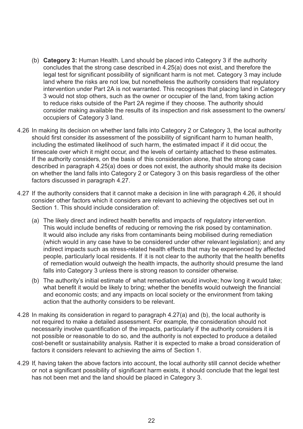- (b) **Category 3:** Human Health. Land should be placed into Category 3 if the authority concludes that the strong case described in 4.25(a) does not exist, and therefore the legal test for significant possibility of significant harm is not met. Category 3 may include land where the risks are not low, but nonetheless the authority considers that regulatory intervention under Part 2A is not warranted. This recognises that placing land in Category 3 would not stop others, such as the owner or occupier of the land, from taking action to reduce risks outside of the Part 2A regime if they choose. The authority should consider making available the results of its inspection and risk assessment to the owners/ occupiers of Category 3 land.
- 4.26 In making its decision on whether land falls into Category 2 or Category 3, the local authority should first consider its assessment of the possibility of significant harm to human health, including the estimated likelihood of such harm, the estimated impact if it did occur, the timescale over which it might occur, and the levels of certainty attached to these estimates. If the authority considers, on the basis of this consideration alone, that the strong case described in paragraph 4.25(a) does or does not exist, the authority should make its decision on whether the land falls into Category 2 or Category 3 on this basis regardless of the other factors discussed in paragraph 4.27.
- 4.27 If the authority considers that it cannot make a decision in line with paragraph 4.26, it should consider other factors which it considers are relevant to achieving the objectives set out in Section 1. This should include consideration of:
	- (a) The likely direct and indirect health benefits and impacts of regulatory intervention. This would include benefits of reducing or removing the risk posed by contamination. It would also include any risks from contaminants being mobilised during remediation (which would in any case have to be considered under other relevant legislation); and any indirect impacts such as stress-related health effects that may be experienced by affected people, particularly local residents. If it is not clear to the authority that the health benefits of remediation would outweigh the health impacts, the authority should presume the land falls into Category 3 unless there is strong reason to consider otherwise.
	- (b) The authority's initial estimate of what remediation would involve; how long it would take; what benefit it would be likely to bring; whether the benefits would outweigh the financial and economic costs; and any impacts on local society or the environment from taking action that the authority considers to be relevant.
- 4.28 In making its consideration in regard to paragraph 4.27(a) and (b), the local authority is not required to make a detailed assessment. For example, the consideration should not necessarily involve quantification of the impacts, particularly if the authority considers it is not possible or reasonable to do so, and the authority is not expected to produce a detailed cost-benefit or sustainability analysis. Rather it is expected to make a broad consideration of factors it considers relevant to achieving the aims of Section 1.
- 4.29 If, having taken the above factors into account, the local authority still cannot decide whether or not a significant possibility of significant harm exists, it should conclude that the legal test has not been met and the land should be placed in Category 3.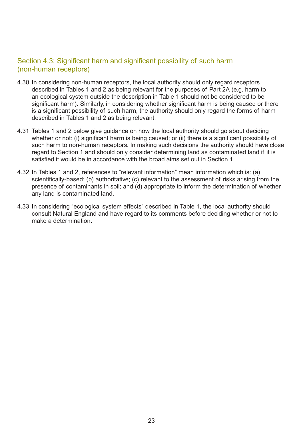## <span id="page-24-0"></span>Section 4.3: Significant harm and significant possibility of such harm (non-human receptors)

- 4.30 In considering non-human receptors, the local authority should only regard receptors described in Tables 1 and 2 as being relevant for the purposes of Part 2A (e.g. harm to an ecological system outside the description in Table 1 should not be considered to be significant harm). Similarly, in considering whether significant harm is being caused or there is a significant possibility of such harm, the authority should only regard the forms of harm described in Tables 1 and 2 as being relevant.
- 4.31 Tables 1 and 2 below give guidance on how the local authority should go about deciding whether or not: (i) significant harm is being caused; or (ii) there is a significant possibility of such harm to non-human receptors. In making such decisions the authority should have close regard to Section 1 and should only consider determining land as contaminated land if it is satisfied it would be in accordance with the broad aims set out in Section 1.
- 4.32 In Tables 1 and 2, references to "relevant information" mean information which is: (a) scientifically-based; (b) authoritative; (c) relevant to the assessment of risks arising from the presence of contaminants in soil; and (d) appropriate to inform the determination of whether any land is contaminated land.
- 4.33 In considering "ecological system effects" described in Table 1, the local authority should consult Natural England and have regard to its comments before deciding whether or not to make a determination.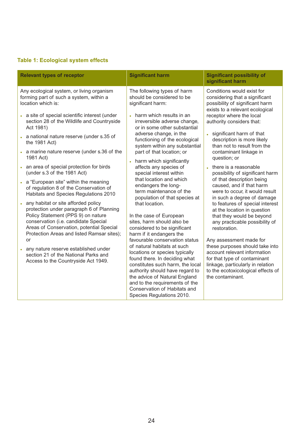## **Table 1: Ecological system effects**

| <b>Relevant types of receptor</b>                                                                                                                                                                                                                                                                                                                                                                                                                                                                                                                                                                                                                                                                                                                                                                                                                                                                                                                  | <b>Significant harm</b>                                                                                                                                                                                                                                                                                                                                                                                                                                                                                                                                                                                                                                                                                                                                                                                                                                                                                                                                                                                 | <b>Significant possibility of</b><br>significant harm                                                                                                                                                                                                                                                                                                                                                                                                                                                                                                                                                                                                                                                                                                                                                                                                                                                            |
|----------------------------------------------------------------------------------------------------------------------------------------------------------------------------------------------------------------------------------------------------------------------------------------------------------------------------------------------------------------------------------------------------------------------------------------------------------------------------------------------------------------------------------------------------------------------------------------------------------------------------------------------------------------------------------------------------------------------------------------------------------------------------------------------------------------------------------------------------------------------------------------------------------------------------------------------------|---------------------------------------------------------------------------------------------------------------------------------------------------------------------------------------------------------------------------------------------------------------------------------------------------------------------------------------------------------------------------------------------------------------------------------------------------------------------------------------------------------------------------------------------------------------------------------------------------------------------------------------------------------------------------------------------------------------------------------------------------------------------------------------------------------------------------------------------------------------------------------------------------------------------------------------------------------------------------------------------------------|------------------------------------------------------------------------------------------------------------------------------------------------------------------------------------------------------------------------------------------------------------------------------------------------------------------------------------------------------------------------------------------------------------------------------------------------------------------------------------------------------------------------------------------------------------------------------------------------------------------------------------------------------------------------------------------------------------------------------------------------------------------------------------------------------------------------------------------------------------------------------------------------------------------|
| Any ecological system, or living organism<br>forming part of such a system, within a<br>location which is:<br>• a site of special scientific interest (under<br>section 28 of the Wildlife and Countryside<br>Act 1981)<br>• a national nature reserve (under s.35 of<br>the 1981 Act)<br>a marine nature reserve (under s.36 of the<br>1981 Act)<br>an area of special protection for birds<br>(under s.3 of the 1981 Act)<br>• a "European site" within the meaning<br>of regulation 8 of the Conservation of<br>Habitats and Species Regulations 2010<br>• any habitat or site afforded policy<br>protection under paragraph 6 of Planning<br>Policy Statement (PPS 9) on nature<br>conservation (i.e. candidate Special<br>Areas of Conservation, potential Special<br>Protection Areas and listed Ramsar sites);<br>or<br>any nature reserve established under<br>section 21 of the National Parks and<br>Access to the Countryside Act 1949. | The following types of harm<br>should be considered to be<br>significant harm:<br>harm which results in an<br>a.<br>irreversible adverse change,<br>or in some other substantial<br>adverse change, in the<br>functioning of the ecological<br>system within any substantial<br>part of that location; or<br>harm which significantly<br>$\bullet$<br>affects any species of<br>special interest within<br>that location and which<br>endangers the long-<br>term maintenance of the<br>population of that species at<br>that location.<br>In the case of European<br>sites, harm should also be<br>considered to be significant<br>harm if it endangers the<br>favourable conservation status<br>of natural habitats at such<br>locations or species typically<br>found there. In deciding what<br>constitutes such harm, the local<br>authority should have regard to<br>the advice of Natural England<br>and to the requirements of the<br>Conservation of Habitats and<br>Species Regulations 2010. | Conditions would exist for<br>considering that a significant<br>possibility of significant harm<br>exists to a relevant ecological<br>receptor where the local<br>authority considers that:<br>significant harm of that<br>$\bullet$<br>description is more likely<br>than not to result from the<br>contaminant linkage in<br>question; or<br>. there is a reasonable<br>possibility of significant harm<br>of that description being<br>caused, and if that harm<br>were to occur, it would result<br>in such a degree of damage<br>to features of special interest<br>at the location in question<br>that they would be beyond<br>any practicable possibility of<br>restoration.<br>Any assessment made for<br>these purposes should take into<br>account relevant information<br>for that type of contaminant<br>linkage, particularly in relation<br>to the ecotoxicological effects of<br>the contaminant. |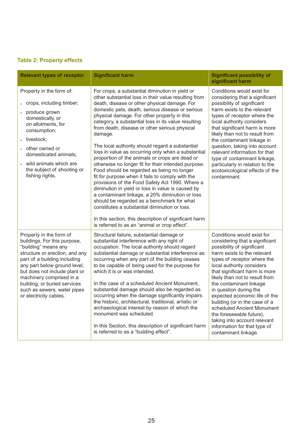## **Table 2: Property effects**

| <b>Relevant types of receptor</b>                                                                                                                                                                                                                                                                                                       | <b>Significant harm</b>                                                                                                                                                                                                                                                                                                                                                                                                                                                                                                                                                                                                                                                                                                                                                                                                                                                                                                                                                                                                                                               | <b>Significant possibility of</b><br>significant harm                                                                                                                                                                                                                                                                                                                                                                                                                                                                             |
|-----------------------------------------------------------------------------------------------------------------------------------------------------------------------------------------------------------------------------------------------------------------------------------------------------------------------------------------|-----------------------------------------------------------------------------------------------------------------------------------------------------------------------------------------------------------------------------------------------------------------------------------------------------------------------------------------------------------------------------------------------------------------------------------------------------------------------------------------------------------------------------------------------------------------------------------------------------------------------------------------------------------------------------------------------------------------------------------------------------------------------------------------------------------------------------------------------------------------------------------------------------------------------------------------------------------------------------------------------------------------------------------------------------------------------|-----------------------------------------------------------------------------------------------------------------------------------------------------------------------------------------------------------------------------------------------------------------------------------------------------------------------------------------------------------------------------------------------------------------------------------------------------------------------------------------------------------------------------------|
| Property in the form of:<br>crops, including timber;<br>produce grown<br>domestically, or<br>on allotments, for<br>consumption;<br>livestock;<br>$\bullet$<br>other owned or<br>domesticated animals;<br>wild animals which are<br>the subject of shooting or<br>fishing rights.                                                        | For crops, a substantial diminution in yield or<br>other substantial loss in their value resulting from<br>death, disease or other physical damage. For<br>domestic pets, death, serious disease or serious<br>physical damage. For other property in this<br>category, a substantial loss in its value resulting<br>from death, disease or other serious physical<br>damage.<br>The local authority should regard a substantial<br>loss in value as occurring only when a substantial<br>proportion of the animals or crops are dead or<br>otherwise no longer fit for their intended purpose.<br>Food should be regarded as being no longer<br>fit for purpose when it fails to comply with the<br>provisions of the Food Safety Act 1990. Where a<br>diminution in yield or loss in value is caused by<br>a contaminant linkage, a 20% diminution or loss<br>should be regarded as a benchmark for what<br>constitutes a substantial diminution or loss.<br>In this section, this description of significant harm<br>is referred to as an "animal or crop effect". | Conditions would exist for<br>considering that a significant<br>possibility of significant<br>harm exists to the relevant<br>types of receptor where the<br>local authority considers<br>that significant harm is more<br>likely than not to result from<br>the contaminant linkage in<br>question, taking into account<br>relevant information for that<br>type of contaminant linkage,<br>particularly in relation to the<br>ecotoxicological effects of the<br>contaminant.                                                    |
| Property in the form of<br>buildings. For this purpose,<br>"building" means any<br>structure or erection, and any<br>part of a building including<br>any part below ground level,<br>but does not include plant or<br>machinery comprised in a<br>building, or buried services<br>such as sewers, water pipes<br>or electricity cables. | Structural failure, substantial damage or<br>substantial interference with any right of<br>occupation. The local authority should regard<br>substantial damage or substantial interference as<br>occurring when any part of the building ceases<br>to be capable of being used for the purpose for<br>which it is or was intended.<br>In the case of a scheduled Ancient Monument,<br>substantial damage should also be regarded as<br>occurring when the damage significantly impairs<br>the historic, architectural, traditional, artistic or<br>archaeological interest by reason of which the<br>monument was scheduled.<br>In this Section, this description of significant harm<br>is referred to as a "building effect".                                                                                                                                                                                                                                                                                                                                       | Conditions would exist for<br>considering that a significant<br>possibility of significant<br>harm exists to the relevant<br>types of receptor where the<br>local authority considers<br>that significant harm is more<br>likely than not to result from<br>the contaminant linkage<br>in question during the<br>expected economic life of the<br>building (or in the case of a<br>scheduled Ancient Monument<br>the foreseeable future),<br>taking into account relevant<br>information for that type of<br>contaminant linkage. |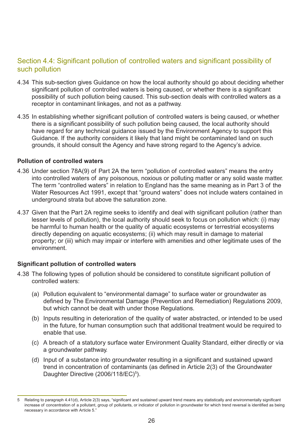## <span id="page-27-0"></span>Section 4.4: Significant pollution of controlled waters and significant possibility of such pollution

- 4.34 This sub-section gives Guidance on how the local authority should go about deciding whether significant pollution of controlled waters is being caused, or whether there is a significant possibility of such pollution being caused. This sub-section deals with controlled waters as a receptor in contaminant linkages, and not as a pathway.
- 4.35 In establishing whether significant pollution of controlled waters is being caused, or whether there is a significant possibility of such pollution being caused, the local authority should have regard for any technical guidance issued by the Environment Agency to support this Guidance. If the authority considers it likely that land might be contaminated land on such grounds, it should consult the Agency and have strong regard to the Agency's advice.

### **Pollution of controlled waters**

- 4.36 Under section 78A(9) of Part 2A the term "pollution of controlled waters" means the entry into controlled waters of any poisonous, noxious or polluting matter or any solid waste matter. The term "controlled waters" in relation to England has the same meaning as in Part 3 of the Water Resources Act 1991, except that "ground waters" does not include waters contained in underground strata but above the saturation zone.
- 4.37 Given that the Part 2A regime seeks to identify and deal with significant pollution (rather than lesser levels of pollution), the local authority should seek to focus on pollution which: (i) may be harmful to human health or the quality of aquatic ecosystems or terrestrial ecosystems directly depending on aquatic ecosystems; (ii) which may result in damage to material property; or (iii) which may impair or interfere with amenities and other legitimate uses of the environment.

## **Significant pollution of controlled waters**

- 4.38 The following types of pollution should be considered to constitute significant pollution of controlled waters:
	- (a) Pollution equivalent to "environmental damage" to surface water or groundwater as defined by The Environmental Damage (Prevention and Remediation) Regulations 2009, but which cannot be dealt with under those Regulations.
	- (b) Inputs resulting in deterioration of the quality of water abstracted, or intended to be used in the future, for human consumption such that additional treatment would be required to enable that use.
	- (c) A breach of a statutory surface water Environment Quality Standard, either directly or via a groundwater pathway.
	- (d) Input of a substance into groundwater resulting in a significant and sustained upward trend in concentration of contaminants (as defined in Article 2(3) of the Groundwater Daughter Directive (2006/118/EC)<sup>5</sup>).

<sup>5</sup> Relating to paragraph 4.41(d), Article 2(3) says, "significant and sustained upward trend means any statistically and environmentally significant increase of concentration of a pollutant, group of pollutants, or indicator of pollution in groundwater for which trend reversal is identified as being necessary in accordance with Article 5."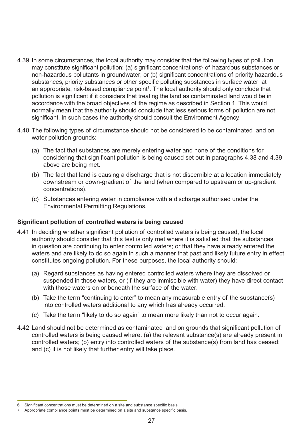- 4.39 In some circumstances, the local authority may consider that the following types of pollution may constitute significant pollution: (a) significant concentrations<sup>6</sup> of hazardous substances or non-hazardous pollutants in groundwater; or (b) significant concentrations of priority hazardous substances, priority substances or other specific polluting substances in surface water; at an appropriate, risk-based compliance point<sup>7</sup>. The local authority should only conclude that pollution is significant if it considers that treating the land as contaminated land would be in accordance with the broad objectives of the regime as described in Section 1. This would normally mean that the authority should conclude that less serious forms of pollution are not significant. In such cases the authority should consult the Environment Agency.
- 4.40 The following types of circumstance should not be considered to be contaminated land on water pollution grounds:
	- (a) The fact that substances are merely entering water and none of the conditions for considering that significant pollution is being caused set out in paragraphs 4.38 and 4.39 above are being met.
	- (b) The fact that land is causing a discharge that is not discernible at a location immediately downstream or down-gradient of the land (when compared to upstream or up-gradient concentrations).
	- (c) Substances entering water in compliance with a discharge authorised under the Environmental Permitting Regulations.

### **Significant pollution of controlled waters is being caused**

- 4.41 In deciding whether significant pollution of controlled waters is being caused, the local authority should consider that this test is only met where it is satisfied that the substances in question are continuing to enter controlled waters; or that they have already entered the waters and are likely to do so again in such a manner that past and likely future entry in effect constitutes ongoing pollution. For these purposes, the local authority should:
	- (a) Regard substances as having entered controlled waters where they are dissolved or suspended in those waters, or (if they are immiscible with water) they have direct contact with those waters on or beneath the surface of the water.
	- (b) Take the term "continuing to enter" to mean any measurable entry of the substance(s) into controlled waters additional to any which has already occurred.
	- (c) Take the term "likely to do so again" to mean more likely than not to occur again.
- 4.42 Land should not be determined as contaminated land on grounds that significant pollution of controlled waters is being caused where: (a) the relevant substance(s) are already present in controlled waters; (b) entry into controlled waters of the substance(s) from land has ceased; and (c) it is not likely that further entry will take place.

<sup>6</sup> Significant concentrations must be determined on a site and substance specific basis.

<sup>7</sup> Appropriate compliance points must be determined on a site and substance specific basis.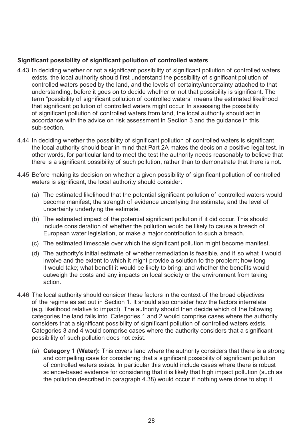## **Significant possibility of significant pollution of controlled waters**

- 4.43 In deciding whether or not a significant possibility of significant pollution of controlled waters exists, the local authority should first understand the possibility of significant pollution of controlled waters posed by the land, and the levels of certainty/uncertainty attached to that understanding, before it goes on to decide whether or not that possibility is significant. The term "possibility of significant pollution of controlled waters" means the estimated likelihood that significant pollution of controlled waters might occur. In assessing the possibility of significant pollution of controlled waters from land, the local authority should act in accordance with the advice on risk assessment in Section 3 and the guidance in this sub-section.
- 4.44 In deciding whether the possibility of significant pollution of controlled waters is significant the local authority should bear in mind that Part 2A makes the decision a positive legal test. In other words, for particular land to meet the test the authority needs reasonably to believe that there is a significant possibility of such pollution, rather than to demonstrate that there is not.
- 4.45 Before making its decision on whether a given possibility of significant pollution of controlled waters is significant, the local authority should consider:
	- (a) The estimated likelihood that the potential significant pollution of controlled waters would become manifest; the strength of evidence underlying the estimate; and the level of uncertainty underlying the estimate.
	- (b) The estimated impact of the potential significant pollution if it did occur. This should include consideration of whether the pollution would be likely to cause a breach of European water legislation, or make a major contribution to such a breach.
	- (c) The estimated timescale over which the significant pollution might become manifest.
	- (d) The authority's initial estimate of whether remediation is feasible, and if so what it would involve and the extent to which it might provide a solution to the problem; how long it would take; what benefit it would be likely to bring; and whether the benefits would outweigh the costs and any impacts on local society or the environment from taking action.
- 4.46 The local authority should consider these factors in the context of the broad objectives of the regime as set out in Section 1. It should also consider how the factors interrelate (e.g. likelihood relative to impact). The authority should then decide which of the following categories the land falls into. Categories 1 and 2 would comprise cases where the authority considers that a significant possibility of significant pollution of controlled waters exists. Categories 3 and 4 would comprise cases where the authority considers that a significant possibility of such pollution does not exist.
	- (a) **Category 1 (Water):** This covers land where the authority considers that there is a strong and compelling case for considering that a significant possibility of significant pollution of controlled waters exists. In particular this would include cases where there is robust science-based evidence for considering that it is likely that high impact pollution (such as the pollution described in paragraph 4.38) would occur if nothing were done to stop it.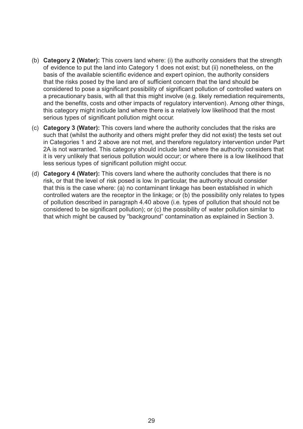- (b) **Category 2 (Water):** This covers land where: (i) the authority considers that the strength of evidence to put the land into Category 1 does not exist; but (ii) nonetheless, on the basis of the available scientific evidence and expert opinion, the authority considers that the risks posed by the land are of sufficient concern that the land should be considered to pose a significant possibility of significant pollution of controlled waters on a precautionary basis, with all that this might involve (e.g. likely remediation requirements, and the benefits, costs and other impacts of regulatory intervention). Among other things, this category might include land where there is a relatively low likelihood that the most serious types of significant pollution might occur.
- (c) **Category 3 (Water):** This covers land where the authority concludes that the risks are such that (whilst the authority and others might prefer they did not exist) the tests set out in Categories 1 and 2 above are not met, and therefore regulatory intervention under Part 2A is not warranted. This category should include land where the authority considers that it is very unlikely that serious pollution would occur; or where there is a low likelihood that less serious types of significant pollution might occur.
- (d) **Category 4 (Water):** This covers land where the authority concludes that there is no risk, or that the level of risk posed is low. In particular, the authority should consider that this is the case where: (a) no contaminant linkage has been established in which controlled waters are the receptor in the linkage; or (b) the possibility only relates to types of pollution described in paragraph 4.40 above (i.e. types of pollution that should not be considered to be significant pollution); or (c) the possibility of water pollution similar to that which might be caused by "background" contamination as explained in Section 3.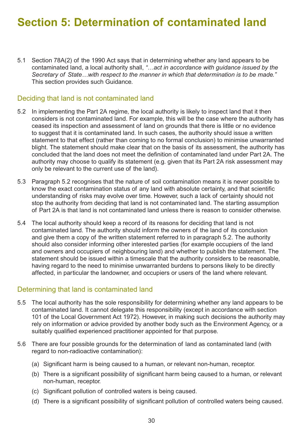# <span id="page-31-0"></span>**Section 5: Determination of contaminated land**

5.1 Section 78A(2) of the 1990 Act says that in determining whether any land appears to be contaminated land, a local authority shall, *"…act in accordance with guidance issued by the Secretary of State…with respect to the manner in which that determination is to be made."* This section provides such Guidance.

## Deciding that land is not contaminated land

- 5.2 In implementing the Part 2A regime, the local authority is likely to inspect land that it then considers is not contaminated land. For example, this will be the case where the authority has ceased its inspection and assessment of land on grounds that there is little or no evidence to suggest that it is contaminated land. In such cases, the authority should issue a written statement to that effect (rather than coming to no formal conclusion) to minimise unwarranted blight. The statement should make clear that on the basis of its assessment, the authority has concluded that the land does not meet the definition of contaminated land under Part 2A. The authority may choose to qualify its statement (e.g. given that its Part 2A risk assessment may only be relevant to the current use of the land).
- 5.3 Paragraph 5.2 recognises that the nature of soil contamination means it is never possible to know the exact contamination status of any land with absolute certainty, and that scientific understanding of risks may evolve over time. However, such a lack of certainty should not stop the authority from deciding that land is not contaminated land. The starting assumption of Part 2A is that land is not contaminated land unless there is reason to consider otherwise.
- 5.4 The local authority should keep a record of its reasons for deciding that land is not contaminated land. The authority should inform the owners of the land of its conclusion and give them a copy of the written statement referred to in paragraph 5.2. The authority should also consider informing other interested parties (for example occupiers of the land and owners and occupiers of neighbouring land) and whether to publish the statement. The statement should be issued within a timescale that the authority considers to be reasonable, having regard to the need to minimise unwarranted burdens to persons likely to be directly affected, in particular the landowner, and occupiers or users of the land where relevant.

### Determining that land is contaminated land

- 5.5 The local authority has the sole responsibility for determining whether any land appears to be contaminated land. It cannot delegate this responsibility (except in accordance with section 101 of the Local Government Act 1972). However, in making such decisions the authority may rely on information or advice provided by another body such as the Environment Agency, or a suitably qualified experienced practitioner appointed for that purpose.
- 5.6 There are four possible grounds for the determination of land as contaminated land (with regard to non-radioactive contamination):
	- (a) Significant harm is being caused to a human, or relevant non-human, receptor.
	- (b) There is a significant possibility of significant harm being caused to a human, or relevant non-human, receptor.
	- (c) Significant pollution of controlled waters is being caused.
	- (d) There is a significant possibility of significant pollution of controlled waters being caused.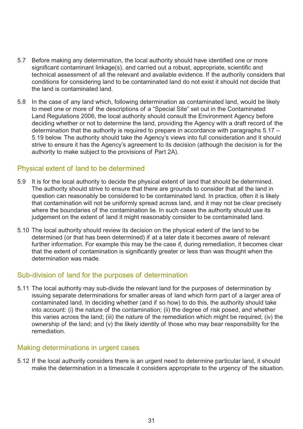- 5.7 Before making any determination, the local authority should have identified one or more significant contaminant linkage(s), and carried out a robust, appropriate, scientific and technical assessment of all the relevant and available evidence. If the authority considers that conditions for considering land to be contaminated land do not exist it should not decide that the land is contaminated land.
- 5.8 In the case of any land which, following determination as contaminated land, would be likely to meet one or more of the descriptions of a "Special Site" set out in the Contaminated Land Regulations 2006, the local authority should consult the Environment Agency before deciding whether or not to determine the land, providing the Agency with a draft record of the determination that the authority is required to prepare in accordance with paragraphs 5.17 – 5.19 below. The authority should take the Agency's views into full consideration and it should strive to ensure it has the Agency's agreement to its decision (although the decision is for the authority to make subject to the provisions of Part 2A).

## Physical extent of land to be determined

- 5.9 It is for the local authority to decide the physical extent of land that should be determined. The authority should strive to ensure that there are grounds to consider that all the land in question can reasonably be considered to be contaminated land. In practice, often it is likely that contamination will not be uniformly spread across land, and it may not be clear precisely where the boundaries of the contamination lie. In such cases the authority should use its judgement on the extent of land it might reasonably consider to be contaminated land.
- 5.10 The local authority should review its decision on the physical extent of the land to be determined (or that has been determined) if at a later date it becomes aware of relevant further information. For example this may be the case if, during remediation, it becomes clear that the extent of contamination is significantly greater or less than was thought when the determination was made.

## Sub-division of land for the purposes of determination

5.11 The local authority may sub-divide the relevant land for the purposes of determination by issuing separate determinations for smaller areas of land which form part of a larger area of contaminated land. In deciding whether (and if so how) to do this, the authority should take into account: (i) the nature of the contamination; (ii) the degree of risk posed, and whether this varies across the land; (iii) the nature of the remediation which might be required; (iv) the ownership of the land; and (v) the likely identity of those who may bear responsibility for the remediation.

## Making determinations in urgent cases

5.12 If the local authority considers there is an urgent need to determine particular land, it should make the determination in a timescale it considers appropriate to the urgency of the situation.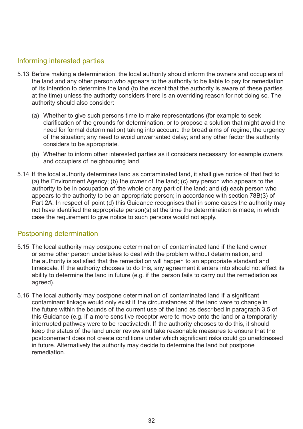## Informing interested parties

- 5.13 Before making a determination, the local authority should inform the owners and occupiers of the land and any other person who appears to the authority to be liable to pay for remediation of its intention to determine the land (to the extent that the authority is aware of these parties at the time) unless the authority considers there is an overriding reason for not doing so. The authority should also consider:
	- (a) Whether to give such persons time to make representations (for example to seek clarification of the grounds for determination, or to propose a solution that might avoid the need for formal determination) taking into account: the broad aims of regime; the urgency of the situation; any need to avoid unwarranted delay; and any other factor the authority considers to be appropriate.
	- (b) Whether to inform other interested parties as it considers necessary, for example owners and occupiers of neighbouring land.
- 5.14 If the local authority determines land as contaminated land, it shall give notice of that fact to (a) the Environment Agency; (b) the owner of the land; (c) any person who appears to the authority to be in occupation of the whole or any part of the land; and (d) each person who appears to the authority to be an appropriate person; in accordance with section 78B(3) of Part 2A. In respect of point (d) this Guidance recognises that in some cases the authority may not have identified the appropriate person(s) at the time the determination is made, in which case the requirement to give notice to such persons would not apply.

## Postponing determination

- 5.15 The local authority may postpone determination of contaminated land if the land owner or some other person undertakes to deal with the problem without determination, and the authority is satisfied that the remediation will happen to an appropriate standard and timescale. If the authority chooses to do this, any agreement it enters into should not affect its ability to determine the land in future (e.g. if the person fails to carry out the remediation as agreed).
- 5.16 The local authority may postpone determination of contaminated land if a significant contaminant linkage would only exist if the circumstances of the land were to change in the future within the bounds of the current use of the land as described in paragraph 3.5 of this Guidance (e.g. if a more sensitive receptor were to move onto the land or a temporarily interrupted pathway were to be reactivated). If the authority chooses to do this, it should keep the status of the land under review and take reasonable measures to ensure that the postponement does not create conditions under which significant risks could go unaddressed in future. Alternatively the authority may decide to determine the land but postpone remediation.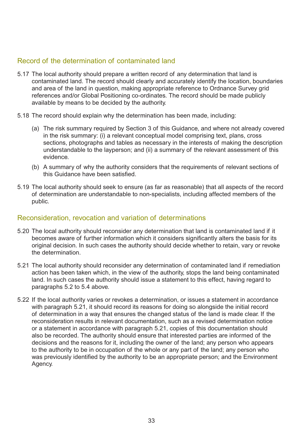## Record of the determination of contaminated land

- 5.17 The local authority should prepare a written record of any determination that land is contaminated land. The record should clearly and accurately identify the location, boundaries and area of the land in question, making appropriate reference to Ordnance Survey grid references and/or Global Positioning co-ordinates. The record should be made publicly available by means to be decided by the authority.
- 5.18 The record should explain why the determination has been made, including:
	- (a) The risk summary required by Section 3 of this Guidance, and where not already covered in the risk summary: (i) a relevant conceptual model comprising text, plans, cross sections, photographs and tables as necessary in the interests of making the description understandable to the layperson; and (ii) a summary of the relevant assessment of this evidence.
	- (b) A summary of why the authority considers that the requirements of relevant sections of this Guidance have been satisfied.
- 5.19 The local authority should seek to ensure (as far as reasonable) that all aspects of the record of determination are understandable to non-specialists, including affected members of the public.

## Reconsideration, revocation and variation of determinations

- 5.20 The local authority should reconsider any determination that land is contaminated land if it becomes aware of further information which it considers significantly alters the basis for its original decision. In such cases the authority should decide whether to retain, vary or revoke the determination.
- 5.21 The local authority should reconsider any determination of contaminated land if remediation action has been taken which, in the view of the authority, stops the land being contaminated land. In such cases the authority should issue a statement to this effect, having regard to paragraphs 5.2 to 5.4 above.
- 5.22 If the local authority varies or revokes a determination, or issues a statement in accordance with paragraph 5.21, it should record its reasons for doing so alongside the initial record of determination in a way that ensures the changed status of the land is made clear. If the reconsideration results in relevant documentation, such as a revised determination notice or a statement in accordance with paragraph 5.21, copies of this documentation should also be recorded. The authority should ensure that interested parties are informed of the decisions and the reasons for it, including the owner of the land; any person who appears to the authority to be in occupation of the whole or any part of the land; any person who was previously identified by the authority to be an appropriate person; and the Environment Agency.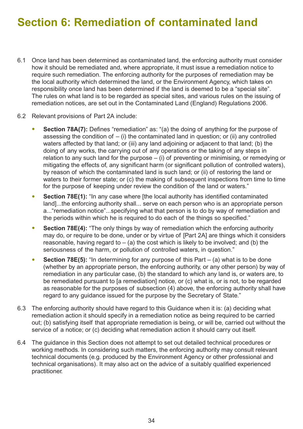# <span id="page-35-0"></span>**Section 6: Remediation of contaminated land**

- 6.1 Once land has been determined as contaminated land, the enforcing authority must consider how it should be remediated and, where appropriate, it must issue a remediation notice to require such remediation. The enforcing authority for the purposes of remediation may be the local authority which determined the land, or the Environment Agency, which takes on responsibility once land has been determined if the land is deemed to be a "special site". The rules on what land is to be regarded as special sites, and various rules on the issuing of remediation notices, are set out in the Contaminated Land (England) Regulations 2006.
- 6.2 Relevant provisions of Part 2A include:
	- **Section 78A(7):** Defines "remediation" as: "(a) the doing of anything for the purpose of assessing the condition of  $-$  (i) the contaminated land in question; or (ii) any controlled waters affected by that land; or (iii) any land adjoining or adjacent to that land; (b) the doing of any works, the carrying out of any operations or the taking of any steps in relation to any such land for the purpose – (i) of preventing or minimising, or remedying or mitigating the effects of, any significant harm (or significant pollution of controlled waters), by reason of which the contaminated land is such land; or (ii) of restoring the land or waters to their former state; or (c) the making of subsequent inspections from time to time for the purpose of keeping under review the condition of the land or waters."
	- **Section 78E(1):** "In any case where [the local authority has identified contaminated land]...the enforcing authority shall... serve on each person who is an appropriate person a..."remediation notice"...specifying what that person is to do by way of remediation and the periods within which he is required to do each of the things so specified."
	- **Section 78E(4):** "The only things by way of remediation which the enforcing authority may do, or require to be done, under or by virtue of [Part 2A] are things which it considers reasonable, having regard to  $-$  (a) the cost which is likely to be involved; and (b) the seriousness of the harm, or pollution of controlled waters, in question."
	- **Section 78E(5):** "In determining for any purpose of this Part (a) what is to be done (whether by an appropriate person, the enforcing authority, or any other person) by way of remediation in any particular case, (b) the standard to which any land is, or waters are, to be remediated pursuant to [a remediation] notice, or (c) what is, or is not, to be regarded as reasonable for the purposes of subsection (4) above, the enforcing authority shall have regard to any guidance issued for the purpose by the Secretary of State."
- 6.3 The enforcing authority should have regard to this Guidance when it is: (a) deciding what remediation action it should specify in a remediation notice as being required to be carried out; (b) satisfying itself that appropriate remediation is being, or will be, carried out without the service of a notice; or (c) deciding what remediation action it should carry out itself.
- 6.4 The guidance in this Section does not attempt to set out detailed technical procedures or working methods. In considering such matters, the enforcing authority may consult relevant technical documents (e.g. produced by the Environment Agency or other professional and technical organisations). It may also act on the advice of a suitably qualified experienced practitioner.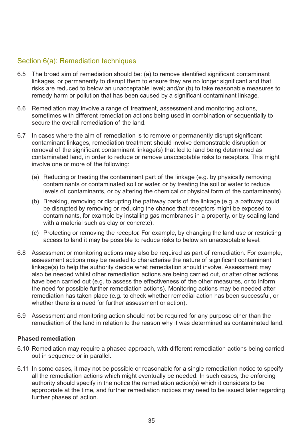## Section 6(a): Remediation techniques

- 6.5 The broad aim of remediation should be: (a) to remove identified significant contaminant linkages, or permanently to disrupt them to ensure they are no longer significant and that risks are reduced to below an unacceptable level; and/or (b) to take reasonable measures to remedy harm or pollution that has been caused by a significant contaminant linkage.
- 6.6 Remediation may involve a range of treatment, assessment and monitoring actions, sometimes with different remediation actions being used in combination or sequentially to secure the overall remediation of the land.
- 6.7 In cases where the aim of remediation is to remove or permanently disrupt significant contaminant linkages, remediation treatment should involve demonstrable disruption or removal of the significant contaminant linkage(s) that led to land being determined as contaminated land, in order to reduce or remove unacceptable risks to receptors. This might involve one or more of the following:
	- (a) Reducing or treating the contaminant part of the linkage (e.g. by physically removing contaminants or contaminated soil or water, or by treating the soil or water to reduce levels of contaminants, or by altering the chemical or physical form of the contaminants).
	- (b) Breaking, removing or disrupting the pathway parts of the linkage (e.g. a pathway could be disrupted by removing or reducing the chance that receptors might be exposed to contaminants, for example by installing gas membranes in a property, or by sealing land with a material such as clay or concrete).
	- (c) Protecting or removing the receptor. For example, by changing the land use or restricting access to land it may be possible to reduce risks to below an unacceptable level.
- 6.8 Assessment or monitoring actions may also be required as part of remediation. For example, assessment actions may be needed to characterise the nature of significant contaminant linkage(s) to help the authority decide what remediation should involve. Assessment may also be needed whilst other remediation actions are being carried out, or after other actions have been carried out (e.g. to assess the effectiveness of the other measures, or to inform the need for possible further remediation actions). Monitoring actions may be needed after remediation has taken place (e.g. to check whether remedial action has been successful, or whether there is a need for further assessment or action).
- 6.9 Assessment and monitoring action should not be required for any purpose other than the remediation of the land in relation to the reason why it was determined as contaminated land.

### **Phased remediation**

- 6.10 Remediation may require a phased approach, with different remediation actions being carried out in sequence or in parallel.
- 6.11 In some cases, it may not be possible or reasonable for a single remediation notice to specify all the remediation actions which might eventually be needed. In such cases, the enforcing authority should specify in the notice the remediation action(s) which it considers to be appropriate at the time, and further remediation notices may need to be issued later regarding further phases of action.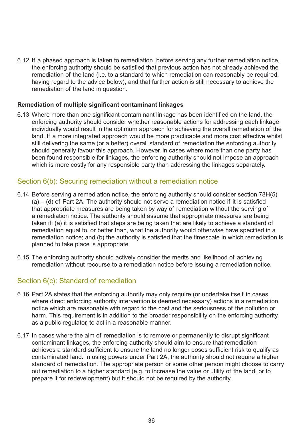6.12 If a phased approach is taken to remediation, before serving any further remediation notice, the enforcing authority should be satisfied that previous action has not already achieved the remediation of the land (i.e. to a standard to which remediation can reasonably be required, having regard to the advice below), and that further action is still necessary to achieve the remediation of the land in question.

### **Remediation of multiple significant contaminant linkages**

6.13 Where more than one significant contaminant linkage has been identified on the land, the enforcing authority should consider whether reasonable actions for addressing each linkage individually would result in the optimum approach for achieving the overall remediation of the land. If a more integrated approach would be more practicable and more cost effective whilst still delivering the same (or a better) overall standard of remediation the enforcing authority should generally favour this approach. However, in cases where more than one party has been found responsible for linkages, the enforcing authority should not impose an approach which is more costly for any responsible party than addressing the linkages separately.

## Section 6(b): Securing remediation without a remediation notice

- 6.14 Before serving a remediation notice, the enforcing authority should consider section 78H(5)  $(a) - (d)$  of Part 2A. The authority should not serve a remediation notice if it is satisfied that appropriate measures are being taken by way of remediation without the serving of a remediation notice. The authority should assume that appropriate measures are being taken if: (a) it is satisfied that steps are being taken that are likely to achieve a standard of remediation equal to, or better than, what the authority would otherwise have specified in a remediation notice; and (b) the authority is satisfied that the timescale in which remediation is planned to take place is appropriate.
- 6.15 The enforcing authority should actively consider the merits and likelihood of achieving remediation without recourse to a remediation notice before issuing a remediation notice.

## Section 6(c): Standard of remediation

- 6.16 Part 2A states that the enforcing authority may only require (or undertake itself in cases where direct enforcing authority intervention is deemed necessary) actions in a remediation notice which are reasonable with regard to the cost and the seriousness of the pollution or harm. This requirement is in addition to the broader responsibility on the enforcing authority, as a public regulator, to act in a reasonable manner.
- 6.17 In cases where the aim of remediation is to remove or permanently to disrupt significant contaminant linkages, the enforcing authority should aim to ensure that remediation achieves a standard sufficient to ensure the land no longer poses sufficient risk to qualify as contaminated land. In using powers under Part 2A, the authority should not require a higher standard of remediation. The appropriate person or some other person might choose to carry out remediation to a higher standard (e.g. to increase the value or utility of the land, or to prepare it for redevelopment) but it should not be required by the authority.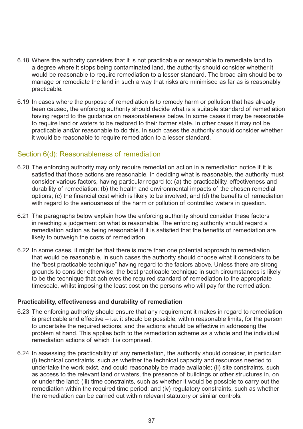- 6.18 Where the authority considers that it is not practicable or reasonable to remediate land to a degree where it stops being contaminated land, the authority should consider whether it would be reasonable to require remediation to a lesser standard. The broad aim should be to manage or remediate the land in such a way that risks are minimised as far as is reasonably practicable.
- 6.19 In cases where the purpose of remediation is to remedy harm or pollution that has already been caused, the enforcing authority should decide what is a suitable standard of remediation having regard to the guidance on reasonableness below. In some cases it may be reasonable to require land or waters to be restored to their former state. In other cases it may not be practicable and/or reasonable to do this. In such cases the authority should consider whether it would be reasonable to require remediation to a lesser standard.

## Section 6(d): Reasonableness of remediation

- 6.20 The enforcing authority may only require remediation action in a remediation notice if it is satisfied that those actions are reasonable. In deciding what is reasonable, the authority must consider various factors, having particular regard to: (a) the practicability, effectiveness and durability of remediation; (b) the health and environmental impacts of the chosen remedial options; (c) the financial cost which is likely to be involved; and (d) the benefits of remediation with regard to the seriousness of the harm or pollution of controlled waters in question.
- 6.21 The paragraphs below explain how the enforcing authority should consider these factors in reaching a judgement on what is reasonable. The enforcing authority should regard a remediation action as being reasonable if it is satisfied that the benefits of remediation are likely to outweigh the costs of remediation.
- 6.22 In some cases, it might be that there is more than one potential approach to remediation that would be reasonable. In such cases the authority should choose what it considers to be the "best practicable technique" having regard to the factors above. Unless there are strong grounds to consider otherwise, the best practicable technique in such circumstances is likely to be the technique that achieves the required standard of remediation to the appropriate timescale, whilst imposing the least cost on the persons who will pay for the remediation.

## **Practicability, effectiveness and durability of remediation**

- 6.23 The enforcing authority should ensure that any requirement it makes in regard to remediation is practicable and effective – i.e. it should be possible, within reasonable limits, for the person to undertake the required actions, and the actions should be effective in addressing the problem at hand. This applies both to the remediation scheme as a whole and the individual remediation actions of which it is comprised.
- 6.24 In assessing the practicability of any remediation, the authority should consider, in particular: (i) technical constraints, such as whether the technical capacity and resources needed to undertake the work exist, and could reasonably be made available; (ii) site constraints, such as access to the relevant land or waters, the presence of buildings or other structures in, on or under the land; (iii) time constraints, such as whether it would be possible to carry out the remediation within the required time period; and (iv) regulatory constraints, such as whether the remediation can be carried out within relevant statutory or similar controls.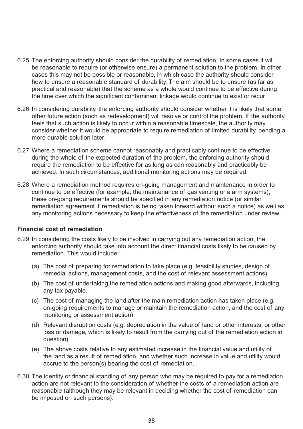- 6.25 The enforcing authority should consider the durability of remediation. In some cases it will be reasonable to require (or otherwise ensure) a permanent solution to the problem. In other cases this may not be possible or reasonable, in which case the authority should consider how to ensure a reasonable standard of durability. The aim should be to ensure (as far as practical and reasonable) that the scheme as a whole would continue to be effective during the time over which the significant contaminant linkage would continue to exist or recur.
- 6.26 In considering durability, the enforcing authority should consider whether it is likely that some other future action (such as redevelopment) will resolve or control the problem. If the authority feels that such action is likely to occur within a reasonable timescale, the authority may consider whether it would be appropriate to require remediation of limited durability, pending a more durable solution later.
- 6.27 Where a remediation scheme cannot reasonably and practicably continue to be effective during the whole of the expected duration of the problem, the enforcing authority should require the remediation to be effective for as long as can reasonably and practicably be achieved. In such circumstances, additional monitoring actions may be required.
- 6.28 Where a remediation method requires on-going management and maintenance in order to continue to be effective (for example, the maintenance of gas venting or alarm systems), these on-going requirements should be specified in any remediation notice (or similar remediation agreement if remediation is being taken forward without such a notice) as well as any monitoring actions necessary to keep the effectiveness of the remediation under review.

### **Financial cost of remediation**

- 6.29 In considering the costs likely to be involved in carrying out any remediation action, the enforcing authority should take into account the direct financial costs likely to be caused by remediation. This would include:
	- (a) The cost of preparing for remediation to take place (e.g. feasibility studies, design of remedial actions, management costs, and the cost of relevant assessment actions).
	- (b) The cost of undertaking the remediation actions and making good afterwards, including any tax payable.
	- (c) The cost of managing the land after the main remediation action has taken place (e.g. on-going requirements to manage or maintain the remediation action, and the cost of any monitoring or assessment action).
	- (d) Relevant disruption costs (e.g. depreciation in the value of land or other interests, or other loss or damage, which is likely to result from the carrying out of the remediation action in question).
	- (e) The above costs relative to any estimated increase in the financial value and utility of the land as a result of remediation, and whether such increase in value and utility would accrue to the person(s) bearing the cost of remediation.
- 6.30 The identity or financial standing of any person who may be required to pay for a remediation action are not relevant to the consideration of whether the costs of a remediation action are reasonable (although they may be relevant in deciding whether the cost of remediation can be imposed on such persons).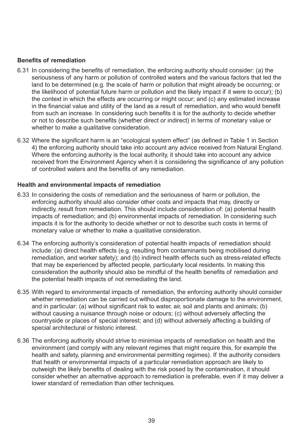### **Benefits of remediation**

- 6.31 In considering the benefits of remediation, the enforcing authority should consider: (a) the seriousness of any harm or pollution of controlled waters and the various factors that led the land to be determined (e.g. the scale of harm or pollution that might already be occurring; or the likelihood of potential future harm or pollution and the likely impact if it were to occur); (b) the context in which the effects are occurring or might occur; and (c) any estimated increase in the financial value and utility of the land as a result of remediation, and who would benefit from such an increase. In considering such benefits it is for the authority to decide whether or not to describe such benefits (whether direct or indirect) in terms of monetary value or whether to make a qualitative consideration.
- 6.32 Where the significant harm is an "ecological system effect" (as defined in Table 1 in Section 4) the enforcing authority should take into account any advice received from Natural England. Where the enforcing authority is the local authority, it should take into account any advice received from the Environment Agency when it is considering the significance of any pollution of controlled waters and the benefits of any remediation.

### **Health and environmental impacts of remediation**

- 6.33 In considering the costs of remediation and the seriousness of harm or pollution, the enforcing authority should also consider other costs and impacts that may, directly or indirectly, result from remediation. This should include consideration of: (a) potential health impacts of remediation; and (b) environmental impacts of remediation. In considering such impacts it is for the authority to decide whether or not to describe such costs in terms of monetary value or whether to make a qualitative consideration.
- 6.34 The enforcing authority's consideration of potential health impacts of remediation should include: (a) direct health effects (e.g. resulting from contaminants being mobilised during remediation, and worker safety); and (b) indirect health effects such as stress-related effects that may be experienced by affected people, particularly local residents. In making this consideration the authority should also be mindful of the health benefits of remediation and the potential health impacts of not remediating the land.
- 6.35 With regard to environmental impacts of remediation, the enforcing authority should consider whether remediation can be carried out without disproportionate damage to the environment, and in particular: (a) without significant risk to water, air, soil and plants and animals; (b) without causing a nuisance through noise or odours; (c) without adversely affecting the countryside or places of special interest; and (d) without adversely affecting a building of special architectural or historic interest.
- 6.36 The enforcing authority should strive to minimise impacts of remediation on health and the environment (and comply with any relevant regimes that might require this, for example the health and safety, planning and environmental permitting regimes). If the authority considers that health or environmental impacts of a particular remediation approach are likely to outweigh the likely benefits of dealing with the risk posed by the contamination, it should consider whether an alternative approach to remediation is preferable, even if it may deliver a lower standard of remediation than other techniques.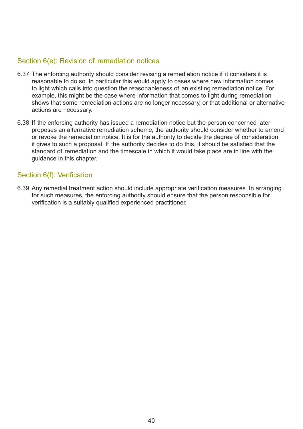## Section 6(e): Revision of remediation notices

- 6.37 The enforcing authority should consider revising a remediation notice if it considers it is reasonable to do so. In particular this would apply to cases where new information comes to light which calls into question the reasonableness of an existing remediation notice. For example, this might be the case where information that comes to light during remediation shows that some remediation actions are no longer necessary, or that additional or alternative actions are necessary.
- 6.38 If the enforcing authority has issued a remediation notice but the person concerned later proposes an alternative remediation scheme, the authority should consider whether to amend or revoke the remediation notice. It is for the authority to decide the degree of consideration it gives to such a proposal. If the authority decides to do this, it should be satisfied that the standard of remediation and the timescale in which it would take place are in line with the guidance in this chapter.

## Section 6(f): Verification

6.39 Any remedial treatment action should include appropriate verification measures. In arranging for such measures, the enforcing authority should ensure that the person responsible for verification is a suitably qualified experienced practitioner.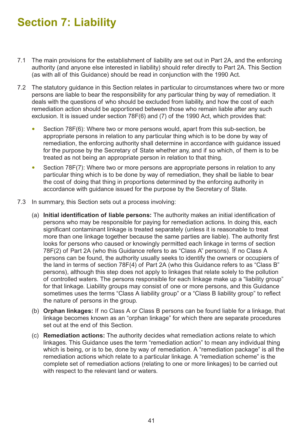# <span id="page-42-0"></span>**Section 7: Liability**

- 7.1 The main provisions for the establishment of liability are set out in Part 2A, and the enforcing authority (and anyone else interested in liability) should refer directly to Part 2A. This Section (as with all of this Guidance) should be read in conjunction with the 1990 Act.
- 7.2 The statutory guidance in this Section relates in particular to circumstances where two or more persons are liable to bear the responsibility for any particular thing by way of remediation. It deals with the questions of who should be excluded from liability, and how the cost of each remediation action should be apportioned between those who remain liable after any such exclusion. It is issued under section 78F(6) and (7) of the 1990 Act, which provides that:
	- Section 78F(6): Where two or more persons would, apart from this sub-section, be appropriate persons in relation to any particular thing which is to be done by way of remediation, the enforcing authority shall determine in accordance with guidance issued for the purpose by the Secretary of State whether any, and if so which, of them is to be treated as not being an appropriate person in relation to that thing.
	- Section 78F(7): Where two or more persons are appropriate persons in relation to any particular thing which is to be done by way of remediation, they shall be liable to bear the cost of doing that thing in proportions determined by the enforcing authority in accordance with guidance issued for the purpose by the Secretary of State.
- 7.3 In summary, this Section sets out a process involving:
	- (a) **Initial identification of liable persons:** The authority makes an initial identification of persons who may be responsible for paying for remediation actions. In doing this, each significant contaminant linkage is treated separately (unless it is reasonable to treat more than one linkage together because the same parties are liable). The authority first looks for persons who caused or knowingly permitted each linkage in terms of section 78F(2) of Part 2A (who this Guidance refers to as "Class A" persons). If no Class A persons can be found, the authority usually seeks to identify the owners or occupiers of the land in terms of section 78F(4) of Part 2A (who this Guidance refers to as "Class B" persons), although this step does not apply to linkages that relate solely to the pollution of controlled waters. The persons responsible for each linkage make up a "liability group" for that linkage. Liability groups may consist of one or more persons, and this Guidance sometimes uses the terms "Class A liability group" or a "Class B liability group" to reflect the nature of persons in the group.
	- (b) **Orphan linkages:** If no Class A or Class B persons can be found liable for a linkage, that linkage becomes known as an "orphan linkage" for which there are separate procedures set out at the end of this Section.
	- (c) **Remediation actions:** The authority decides what remediation actions relate to which linkages. This Guidance uses the term "remediation action" to mean any individual thing which is being, or is to be, done by way of remediation. A "remediation package" is all the remediation actions which relate to a particular linkage. A "remediation scheme" is the complete set of remediation actions (relating to one or more linkages) to be carried out with respect to the relevant land or waters.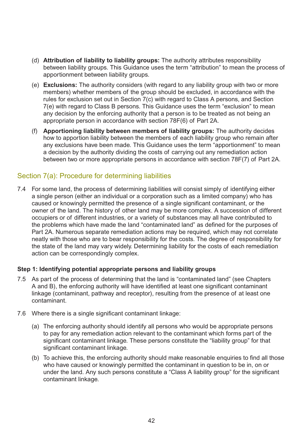- (d) **Attribution of liability to liability groups:** The authority attributes responsibility between liability groups. This Guidance uses the term "attribution" to mean the process of apportionment between liability groups.
- (e) **Exclusions:** The authority considers (with regard to any liability group with two or more members) whether members of the group should be excluded, in accordance with the rules for exclusion set out in Section 7(c) with regard to Class A persons, and Section 7(e) with regard to Class B persons. This Guidance uses the term "exclusion" to mean any decision by the enforcing authority that a person is to be treated as not being an appropriate person in accordance with section 78F(6) of Part 2A.
- (f) **Apportioning liability between members of liability groups:** The authority decides how to apportion liability between the members of each liability group who remain after any exclusions have been made. This Guidance uses the term "apportionment" to mean a decision by the authority dividing the costs of carrying out any remediation action between two or more appropriate persons in accordance with section 78F(7) of Part 2A.

## Section 7(a): Procedure for determining liabilities

7.4 For some land, the process of determining liabilities will consist simply of identifying either a single person (either an individual or a corporation such as a limited company) who has caused or knowingly permitted the presence of a single significant contaminant, or the owner of the land. The history of other land may be more complex. A succession of different occupiers or of different industries, or a variety of substances may all have contributed to the problems which have made the land "contaminated land" as defined for the purposes of Part 2A. Numerous separate remediation actions may be required, which may not correlate neatly with those who are to bear responsibility for the costs. The degree of responsibility for the state of the land may vary widely. Determining liability for the costs of each remediation action can be correspondingly complex.

## **Step 1: Identifying potential appropriate persons and liability groups**

- 7.5 As part of the process of determining that the land is "contaminated land" (see Chapters A and B), the enforcing authority will have identified at least one significant contaminant linkage (contaminant, pathway and receptor), resulting from the presence of at least one contaminant.
- 7.6 Where there is a single significant contaminant linkage:
	- (a) The enforcing authority should identify all persons who would be appropriate persons to pay for any remediation action relevant to the contaminant which forms part of the significant contaminant linkage. These persons constitute the "liability group" for that significant contaminant linkage.
	- (b) To achieve this, the enforcing authority should make reasonable enquiries to find all those who have caused or knowingly permitted the contaminant in question to be in, on or under the land. Any such persons constitute a "Class A liability group" for the significant contaminant linkage.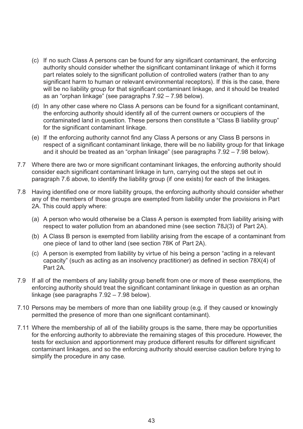- (c) If no such Class A persons can be found for any significant contaminant, the enforcing authority should consider whether the significant contaminant linkage of which it forms part relates solely to the significant pollution of controlled waters (rather than to any significant harm to human or relevant environmental receptors). If this is the case, there will be no liability group for that significant contaminant linkage, and it should be treated as an "orphan linkage" (see paragraphs 7.92 – 7.98 below).
- (d) In any other case where no Class A persons can be found for a significant contaminant, the enforcing authority should identify all of the current owners or occupiers of the contaminated land in question. These persons then constitute a "Class B liability group" for the significant contaminant linkage.
- (e) If the enforcing authority cannot find any Class A persons or any Class B persons in respect of a significant contaminant linkage, there will be no liability group for that linkage and it should be treated as an "orphan linkage" (see paragraphs 7.92 – 7.98 below).
- 7.7 Where there are two or more significant contaminant linkages, the enforcing authority should consider each significant contaminant linkage in turn, carrying out the steps set out in paragraph 7.6 above, to identify the liability group (if one exists) for each of the linkages.
- 7.8 Having identified one or more liability groups, the enforcing authority should consider whether any of the members of those groups are exempted from liability under the provisions in Part 2A. This could apply where:
	- (a) A person who would otherwise be a Class A person is exempted from liability arising with respect to water pollution from an abandoned mine (see section 78J(3) of Part 2A).
	- (b) A Class B person is exempted from liability arising from the escape of a contaminant from one piece of land to other land (see section 78K of Part 2A).
	- (c) A person is exempted from liability by virtue of his being a person "acting in a relevant capacity" (such as acting as an insolvency practitioner) as defined in section 78X(4) of Part 2A.
- 7.9 If all of the members of any liability group benefit from one or more of these exemptions, the enforcing authority should treat the significant contaminant linkage in question as an orphan linkage (see paragraphs 7.92 – 7.98 below).
- 7.10 Persons may be members of more than one liability group (e.g. if they caused or knowingly permitted the presence of more than one significant contaminant).
- 7.11 Where the membership of all of the liability groups is the same, there may be opportunities for the enforcing authority to abbreviate the remaining stages of this procedure. However, the tests for exclusion and apportionment may produce different results for different significant contaminant linkages, and so the enforcing authority should exercise caution before trying to simplify the procedure in any case.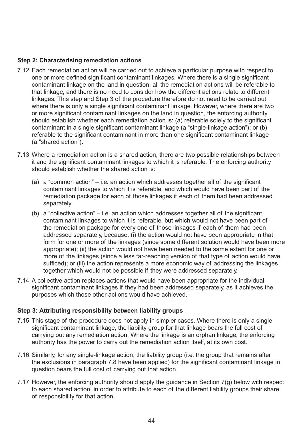### **Step 2: Characterising remediation actions**

- 7.12 Each remediation action will be carried out to achieve a particular purpose with respect to one or more defined significant contaminant linkages. Where there is a single significant contaminant linkage on the land in question, all the remediation actions will be referable to that linkage, and there is no need to consider how the different actions relate to different linkages. This step and Step 3 of the procedure therefore do not need to be carried out where there is only a single significant contaminant linkage. However, where there are two or more significant contaminant linkages on the land in question, the enforcing authority should establish whether each remediation action is: (a) referable solely to the significant contaminant in a single significant contaminant linkage (a "single-linkage action"); or (b) referable to the significant contaminant in more than one significant contaminant linkage (a "shared action").
- 7.13 Where a remediation action is a shared action, there are two possible relationships between it and the significant contaminant linkages to which it is referable. The enforcing authority should establish whether the shared action is:
	- (a) a "common action" i.e. an action which addresses together all of the significant contaminant linkages to which it is referable, and which would have been part of the remediation package for each of those linkages if each of them had been addressed separately.
	- (b) a "collective action"  $-$  i.e. an action which addresses together all of the significant contaminant linkages to which it is referable, but which would not have been part of the remediation package for every one of those linkages if each of them had been addressed separately, because: (i) the action would not have been appropriate in that form for one or more of the linkages (since some different solution would have been more appropriate); (ii) the action would not have been needed to the same extent for one or more of the linkages (since a less far-reaching version of that type of action would have sufficed); or (iii) the action represents a more economic way of addressing the linkages together which would not be possible if they were addressed separately.
- 7.14 A collective action replaces actions that would have been appropriate for the individual significant contaminant linkages if they had been addressed separately, as it achieves the purposes which those other actions would have achieved.

### **Step 3: Attributing responsibility between liability groups**

- 7.15 This stage of the procedure does not apply in simpler cases. Where there is only a single significant contaminant linkage, the liability group for that linkage bears the full cost of carrying out any remediation action. Where the linkage is an orphan linkage, the enforcing authority has the power to carry out the remediation action itself, at its own cost.
- 7.16 Similarly, for any single-linkage action, the liability group (i.e. the group that remains after the exclusions in paragraph 7.8 have been applied) for the significant contaminant linkage in question bears the full cost of carrying out that action.
- 7.17 However, the enforcing authority should apply the guidance in Section 7(g) below with respect to each shared action, in order to attribute to each of the different liability groups their share of responsibility for that action.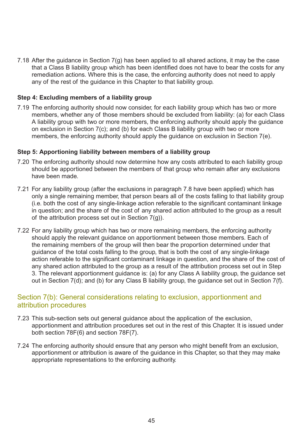7.18 After the guidance in Section 7(g) has been applied to all shared actions, it may be the case that a Class B liability group which has been identified does not have to bear the costs for any remediation actions. Where this is the case, the enforcing authority does not need to apply any of the rest of the guidance in this Chapter to that liability group.

### **Step 4: Excluding members of a liability group**

7.19 The enforcing authority should now consider, for each liability group which has two or more members, whether any of those members should be excluded from liability: (a) for each Class A liability group with two or more members, the enforcing authority should apply the guidance on exclusion in Section 7(c); and (b) for each Class B liability group with two or more members, the enforcing authority should apply the guidance on exclusion in Section 7(e).

### **Step 5: Apportioning liability between members of a liability group**

- 7.20 The enforcing authority should now determine how any costs attributed to each liability group should be apportioned between the members of that group who remain after any exclusions have been made.
- 7.21 For any liability group (after the exclusions in paragraph 7.8 have been applied) which has only a single remaining member, that person bears all of the costs falling to that liability group (i.e. both the cost of any single-linkage action referable to the significant contaminant linkage in question; and the share of the cost of any shared action attributed to the group as a result of the attribution process set out in Section 7(g)).
- 7.22 For any liability group which has two or more remaining members, the enforcing authority should apply the relevant guidance on apportionment between those members. Each of the remaining members of the group will then bear the proportion determined under that guidance of the total costs falling to the group, that is both the cost of any single-linkage action referable to the significant contaminant linkage in question, and the share of the cost of any shared action attributed to the group as a result of the attribution process set out in Step 3. The relevant apportionment guidance is: (a) for any Class A liability group, the guidance set out in Section 7(d); and (b) for any Class B liability group, the guidance set out in Section 7(f).

## Section 7(b): General considerations relating to exclusion, apportionment and attribution procedures

- 7.23 This sub-section sets out general guidance about the application of the exclusion, apportionment and attribution procedures set out in the rest of this Chapter. It is issued under both section 78F(6) and section 78F(7).
- 7.24 The enforcing authority should ensure that any person who might benefit from an exclusion, apportionment or attribution is aware of the guidance in this Chapter, so that they may make appropriate representations to the enforcing authority.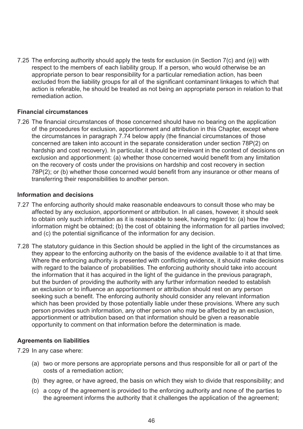7.25 The enforcing authority should apply the tests for exclusion (in Section 7(c) and (e)) with respect to the members of each liability group. If a person, who would otherwise be an appropriate person to bear responsibility for a particular remediation action, has been excluded from the liability groups for all of the significant contaminant linkages to which that action is referable, he should be treated as not being an appropriate person in relation to that remediation action.

### **Financial circumstances**

7.26 The financial circumstances of those concerned should have no bearing on the application of the procedures for exclusion, apportionment and attribution in this Chapter, except where the circumstances in paragraph 7.74 below apply (the financial circumstances of those concerned are taken into account in the separate consideration under section 78P(2) on hardship and cost recovery). In particular, it should be irrelevant in the context of decisions on exclusion and apportionment: (a) whether those concerned would benefit from any limitation on the recovery of costs under the provisions on hardship and cost recovery in section 78P(2); or (b) whether those concerned would benefit from any insurance or other means of transferring their responsibilities to another person.

#### **Information and decisions**

- 7.27 The enforcing authority should make reasonable endeavours to consult those who may be affected by any exclusion, apportionment or attribution. In all cases, however, it should seek to obtain only such information as it is reasonable to seek, having regard to: (a) how the information might be obtained; (b) the cost of obtaining the information for all parties involved; and (c) the potential significance of the information for any decision.
- 7.28 The statutory guidance in this Section should be applied in the light of the circumstances as they appear to the enforcing authority on the basis of the evidence available to it at that time. Where the enforcing authority is presented with conflicting evidence, it should make decisions with regard to the balance of probabilities. The enforcing authority should take into account the information that it has acquired in the light of the guidance in the previous paragraph, but the burden of providing the authority with any further information needed to establish an exclusion or to influence an apportionment or attribution should rest on any person seeking such a benefit. The enforcing authority should consider any relevant information which has been provided by those potentially liable under these provisions. Where any such person provides such information, any other person who may be affected by an exclusion, apportionment or attribution based on that information should be given a reasonable opportunity to comment on that information before the determination is made.

### **Agreements on liabilities**

7.29 In any case where:

- (a) two or more persons are appropriate persons and thus responsible for all or part of the costs of a remediation action;
- (b) they agree, or have agreed, the basis on which they wish to divide that responsibility; and
- (c) a copy of the agreement is provided to the enforcing authority and none of the parties to the agreement informs the authority that it challenges the application of the agreement;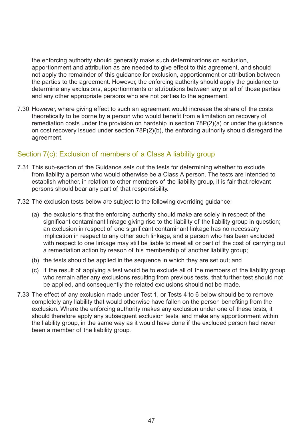the enforcing authority should generally make such determinations on exclusion, apportionment and attribution as are needed to give effect to this agreement, and should not apply the remainder of this guidance for exclusion, apportionment or attribution between the parties to the agreement. However, the enforcing authority should apply the guidance to determine any exclusions, apportionments or attributions between any or all of those parties and any other appropriate persons who are not parties to the agreement.

7.30 However, where giving effect to such an agreement would increase the share of the costs theoretically to be borne by a person who would benefit from a limitation on recovery of remediation costs under the provision on hardship in section 78P(2)(a) or under the guidance on cost recovery issued under section 78P(2)(b), the enforcing authority should disregard the agreement.

## Section 7(c): Exclusion of members of a Class A liability group

- 7.31 This sub-section of the Guidance sets out the tests for determining whether to exclude from liability a person who would otherwise be a Class A person. The tests are intended to establish whether, in relation to other members of the liability group, it is fair that relevant persons should bear any part of that responsibility.
- 7.32 The exclusion tests below are subject to the following overriding guidance:
	- (a) the exclusions that the enforcing authority should make are solely in respect of the significant contaminant linkage giving rise to the liability of the liability group in question; an exclusion in respect of one significant contaminant linkage has no necessary implication in respect to any other such linkage, and a person who has been excluded with respect to one linkage may still be liable to meet all or part of the cost of carrying out a remediation action by reason of his membership of another liability group;
	- (b) the tests should be applied in the sequence in which they are set out; and
	- (c) if the result of applying a test would be to exclude all of the members of the liability group who remain after any exclusions resulting from previous tests, that further test should not be applied, and consequently the related exclusions should not be made.
- 7.33 The effect of any exclusion made under Test 1, or Tests 4 to 6 below should be to remove completely any liability that would otherwise have fallen on the person benefiting from the exclusion. Where the enforcing authority makes any exclusion under one of these tests, it should therefore apply any subsequent exclusion tests, and make any apportionment within the liability group, in the same way as it would have done if the excluded person had never been a member of the liability group.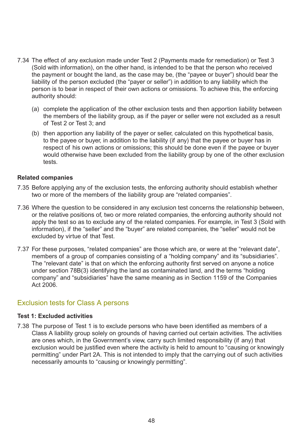- 7.34 The effect of any exclusion made under Test 2 (Payments made for remediation) or Test 3 (Sold with information), on the other hand, is intended to be that the person who received the payment or bought the land, as the case may be, (the "payee or buyer") should bear the liability of the person excluded (the "payer or seller") in addition to any liability which the person is to bear in respect of their own actions or omissions. To achieve this, the enforcing authority should:
	- (a) complete the application of the other exclusion tests and then apportion liability between the members of the liability group, as if the payer or seller were not excluded as a result of Test 2 or Test 3; and
	- (b) then apportion any liability of the payer or seller, calculated on this hypothetical basis, to the payee or buyer, in addition to the liability (if any) that the payee or buyer has in respect of his own actions or omissions; this should be done even if the payee or buyer would otherwise have been excluded from the liability group by one of the other exclusion tests.

### **Related companies**

- 7.35 Before applying any of the exclusion tests, the enforcing authority should establish whether two or more of the members of the liability group are "related companies".
- 7.36 Where the question to be considered in any exclusion test concerns the relationship between, or the relative positions of, two or more related companies, the enforcing authority should not apply the test so as to exclude any of the related companies. For example, in Test 3 (Sold with information), if the "seller" and the "buyer" are related companies, the "seller" would not be excluded by virtue of that Test.
- 7.37 For these purposes, "related companies" are those which are, or were at the "relevant date", members of a group of companies consisting of a "holding company" and its "subsidiaries". The "relevant date" is that on which the enforcing authority first served on anyone a notice under section 78B(3) identifying the land as contaminated land, and the terms "holding company" and "subsidiaries" have the same meaning as in Section 1159 of the Companies Act 2006.

## Exclusion tests for Class A persons

### **Test 1: Excluded activities**

7.38 The purpose of Test 1 is to exclude persons who have been identified as members of a Class A liability group solely on grounds of having carried out certain activities. The activities are ones which, in the Government's view, carry such limited responsibility (if any) that exclusion would be justified even where the activity is held to amount to "causing or knowingly permitting" under Part 2A. This is not intended to imply that the carrying out of such activities necessarily amounts to "causing or knowingly permitting".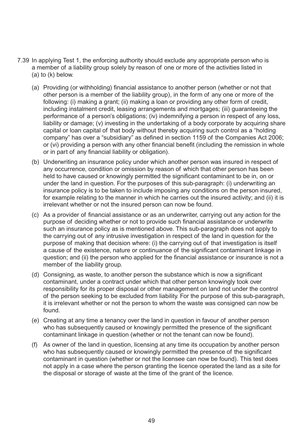- 7.39 In applying Test 1, the enforcing authority should exclude any appropriate person who is a member of a liability group solely by reason of one or more of the activities listed in (a) to (k) below.
	- (a) Providing (or withholding) financial assistance to another person (whether or not that other person is a member of the liability group), in the form of any one or more of the following: (i) making a grant; (ii) making a loan or providing any other form of credit, including instalment credit, leasing arrangements and mortgages; (iii) guaranteeing the performance of a person's obligations; (iv) indemnifying a person in respect of any loss, liability or damage; (v) investing in the undertaking of a body corporate by acquiring share capital or loan capital of that body without thereby acquiring such control as a "holding company" has over a "subsidiary" as defined in section 1159 of the Companies Act 2006; or (vi) providing a person with any other financial benefit (including the remission in whole or in part of any financial liability or obligation).
	- (b) Underwriting an insurance policy under which another person was insured in respect of any occurrence, condition or omission by reason of which that other person has been held to have caused or knowingly permitted the significant contaminant to be in, on or under the land in question. For the purposes of this sub-paragraph: (i) underwriting an insurance policy is to be taken to include imposing any conditions on the person insured, for example relating to the manner in which he carries out the insured activity; and (ii) it is irrelevant whether or not the insured person can now be found.
	- (c) As a provider of financial assistance or as an underwriter, carrying out any action for the purpose of deciding whether or not to provide such financial assistance or underwrite such an insurance policy as is mentioned above. This sub-paragraph does not apply to the carrying out of any intrusive investigation in respect of the land in question for the purpose of making that decision where: (i) the carrying out of that investigation is itself a cause of the existence, nature or continuance of the significant contaminant linkage in question; and (ii) the person who applied for the financial assistance or insurance is not a member of the liability group.
	- (d) Consigning, as waste, to another person the substance which is now a significant contaminant, under a contract under which that other person knowingly took over responsibility for its proper disposal or other management on land not under the control of the person seeking to be excluded from liability. For the purpose of this sub-paragraph, it is irrelevant whether or not the person to whom the waste was consigned can now be found.
	- (e) Creating at any time a tenancy over the land in question in favour of another person who has subsequently caused or knowingly permitted the presence of the significant contaminant linkage in question (whether or not the tenant can now be found).
	- (f) As owner of the land in question, licensing at any time its occupation by another person who has subsequently caused or knowingly permitted the presence of the significant contaminant in question (whether or not the licensee can now be found). This test does not apply in a case where the person granting the licence operated the land as a site for the disposal or storage of waste at the time of the grant of the licence.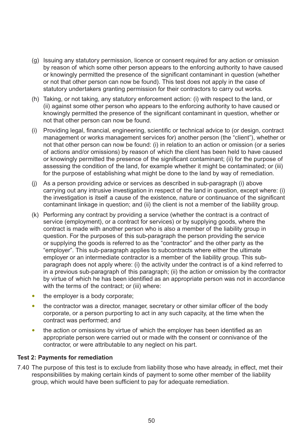- (g) Issuing any statutory permission, licence or consent required for any action or omission by reason of which some other person appears to the enforcing authority to have caused or knowingly permitted the presence of the significant contaminant in question (whether or not that other person can now be found). This test does not apply in the case of statutory undertakers granting permission for their contractors to carry out works.
- (h) Taking, or not taking, any statutory enforcement action: (i) with respect to the land, or (ii) against some other person who appears to the enforcing authority to have caused or knowingly permitted the presence of the significant contaminant in question, whether or not that other person can now be found.
- (i) Providing legal, financial, engineering, scientific or technical advice to (or design, contract management or works management services for) another person (the "client"), whether or not that other person can now be found: (i) in relation to an action or omission (or a series of actions and/or omissions) by reason of which the client has been held to have caused or knowingly permitted the presence of the significant contaminant; (ii) for the purpose of assessing the condition of the land, for example whether it might be contaminated; or (iii) for the purpose of establishing what might be done to the land by way of remediation.
- (j) As a person providing advice or services as described in sub-paragraph (i) above carrying out any intrusive investigation in respect of the land in question, except where: (i) the investigation is itself a cause of the existence, nature or continuance of the significant contaminant linkage in question; and (ii) the client is not a member of the liability group.
- (k) Performing any contract by providing a service (whether the contract is a contract of service (employment), or a contract for services) or by supplying goods, where the contract is made with another person who is also a member of the liability group in question. For the purposes of this sub-paragraph the person providing the service or supplying the goods is referred to as the "contractor" and the other party as the "employer". This sub-paragraph applies to subcontracts where either the ultimate employer or an intermediate contractor is a member of the liability group. This subparagraph does not apply where: (i) the activity under the contract is of a kind referred to in a previous sub-paragraph of this paragraph; (ii) the action or omission by the contractor by virtue of which he has been identified as an appropriate person was not in accordance with the terms of the contract; or (iii) where:
- the employer is a body corporate;
- the contractor was a director, manager, secretary or other similar officer of the body corporate, or a person purporting to act in any such capacity, at the time when the contract was performed; and
- the action or omissions by virtue of which the employer has been identified as an appropriate person were carried out or made with the consent or connivance of the contractor, or were attributable to any neglect on his part.

### **Test 2: Payments for remediation**

7.40 The purpose of this test is to exclude from liability those who have already, in effect, met their responsibilities by making certain kinds of payment to some other member of the liability group, which would have been sufficient to pay for adequate remediation.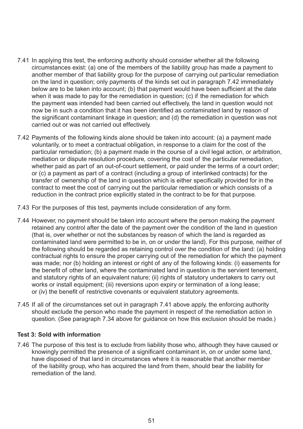- 7.41 In applying this test, the enforcing authority should consider whether all the following circumstances exist: (a) one of the members of the liability group has made a payment to another member of that liability group for the purpose of carrying out particular remediation on the land in question; only payments of the kinds set out in paragraph 7.42 immediately below are to be taken into account; (b) that payment would have been sufficient at the date when it was made to pay for the remediation in question; (c) if the remediation for which the payment was intended had been carried out effectively, the land in question would not now be in such a condition that it has been identified as contaminated land by reason of the significant contaminant linkage in question; and (d) the remediation in question was not carried out or was not carried out effectively.
- 7.42 Payments of the following kinds alone should be taken into account: (a) a payment made voluntarily, or to meet a contractual obligation, in response to a claim for the cost of the particular remediation; (b) a payment made in the course of a civil legal action, or arbitration, mediation or dispute resolution procedure, covering the cost of the particular remediation, whether paid as part of an out-of-court settlement, or paid under the terms of a court order; or (c) a payment as part of a contract (including a group of interlinked contracts) for the transfer of ownership of the land in question which is either specifically provided for in the contract to meet the cost of carrying out the particular remediation or which consists of a reduction in the contract price explicitly stated in the contract to be for that purpose.
- 7.43 For the purposes of this test, payments include consideration of any form.
- 7.44 However, no payment should be taken into account where the person making the payment retained any control after the date of the payment over the condition of the land in question (that is, over whether or not the substances by reason of which the land is regarded as contaminated land were permitted to be in, on or under the land). For this purpose, neither of the following should be regarded as retaining control over the condition of the land: (a) holding contractual rights to ensure the proper carrying out of the remediation for which the payment was made; nor (b) holding an interest or right of any of the following kinds: (i) easements for the benefit of other land, where the contaminated land in question is the servient tenement, and statutory rights of an equivalent nature; (ii) rights of statutory undertakers to carry out works or install equipment; (iii) reversions upon expiry or termination of a long lease; or (iv) the benefit of restrictive covenants or equivalent statutory agreements.
- 7.45 If all of the circumstances set out in paragraph 7.41 above apply, the enforcing authority should exclude the person who made the payment in respect of the remediation action in question. (See paragraph 7.34 above for guidance on how this exclusion should be made.)

### **Test 3: Sold with information**

7.46 The purpose of this test is to exclude from liability those who, although they have caused or knowingly permitted the presence of a significant contaminant in, on or under some land, have disposed of that land in circumstances where it is reasonable that another member of the liability group, who has acquired the land from them, should bear the liability for remediation of the land.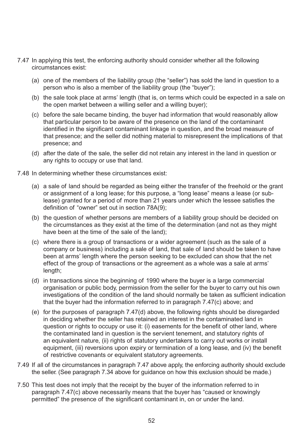- 7.47 In applying this test, the enforcing authority should consider whether all the following circumstances exist:
	- (a) one of the members of the liability group (the "seller") has sold the land in question to a person who is also a member of the liability group (the "buyer");
	- (b) the sale took place at arms' length (that is, on terms which could be expected in a sale on the open market between a willing seller and a willing buyer);
	- (c) before the sale became binding, the buyer had information that would reasonably allow that particular person to be aware of the presence on the land of the contaminant identified in the significant contaminant linkage in question, and the broad measure of that presence; and the seller did nothing material to misrepresent the implications of that presence; and
	- (d) after the date of the sale, the seller did not retain any interest in the land in question or any rights to occupy or use that land.
- 7.48 In determining whether these circumstances exist:
	- (a) a sale of land should be regarded as being either the transfer of the freehold or the grant or assignment of a long lease; for this purpose, a "long lease" means a lease (or sublease) granted for a period of more than 21 years under which the lessee satisfies the definition of "owner" set out in section 78A(9);
	- (b) the question of whether persons are members of a liability group should be decided on the circumstances as they exist at the time of the determination (and not as they might have been at the time of the sale of the land);
	- (c) where there is a group of transactions or a wider agreement (such as the sale of a company or business) including a sale of land, that sale of land should be taken to have been at arms' length where the person seeking to be excluded can show that the net effect of the group of transactions or the agreement as a whole was a sale at arms' length;
	- (d) in transactions since the beginning of 1990 where the buyer is a large commercial organisation or public body, permission from the seller for the buyer to carry out his own investigations of the condition of the land should normally be taken as sufficient indication that the buyer had the information referred to in paragraph 7.47(c) above; and
	- (e) for the purposes of paragraph 7.47(d) above, the following rights should be disregarded in deciding whether the seller has retained an interest in the contaminated land in question or rights to occupy or use it: (i) easements for the benefit of other land, where the contaminated land in question is the servient tenement, and statutory rights of an equivalent nature, (ii) rights of statutory undertakers to carry out works or install equipment, (iii) reversions upon expiry or termination of a long lease, and (iv) the benefit of restrictive covenants or equivalent statutory agreements.
- 7.49 If all of the circumstances in paragraph 7.47 above apply, the enforcing authority should exclude the seller. (See paragraph 7.34 above for guidance on how this exclusion should be made.)
- 7.50 This test does not imply that the receipt by the buyer of the information referred to in paragraph 7.47(c) above necessarily means that the buyer has "caused or knowingly permitted" the presence of the significant contaminant in, on or under the land.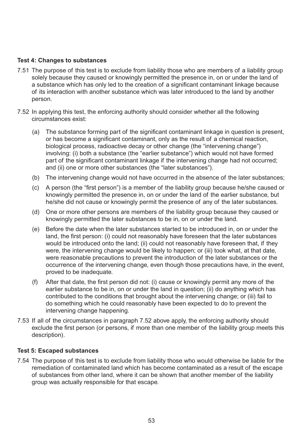### **Test 4: Changes to substances**

- 7.51 The purpose of this test is to exclude from liability those who are members of a liability group solely because they caused or knowingly permitted the presence in, on or under the land of a substance which has only led to the creation of a significant contaminant linkage because of its interaction with another substance which was later introduced to the land by another person.
- 7.52 In applying this test, the enforcing authority should consider whether all the following circumstances exist:
	- (a) The substance forming part of the significant contaminant linkage in question is present, or has become a significant contaminant, only as the result of a chemical reaction, biological process, radioactive decay or other change (the "intervening change") involving: (i) both a substance (the "earlier substance") which would not have formed part of the significant contaminant linkage if the intervening change had not occurred; and (ii) one or more other substances (the "later substances").
	- (b) The intervening change would not have occurred in the absence of the later substances;
	- (c) A person (the "first person") is a member of the liability group because he/she caused or knowingly permitted the presence in, on or under the land of the earlier substance, but he/she did not cause or knowingly permit the presence of any of the later substances.
	- (d) One or more other persons are members of the liability group because they caused or knowingly permitted the later substances to be in, on or under the land.
	- (e) Before the date when the later substances started to be introduced in, on or under the land, the first person: (i) could not reasonably have foreseen that the later substances would be introduced onto the land; (ii) could not reasonably have foreseen that, if they were, the intervening change would be likely to happen; or (iii) took what, at that date, were reasonable precautions to prevent the introduction of the later substances or the occurrence of the intervening change, even though those precautions have, in the event, proved to be inadequate.
	- (f) After that date, the first person did not: (i) cause or knowingly permit any more of the earlier substance to be in, on or under the land in question; (ii) do anything which has contributed to the conditions that brought about the intervening change; or (iii) fail to do something which he could reasonably have been expected to do to prevent the intervening change happening.
- 7.53 If all of the circumstances in paragraph 7.52 above apply, the enforcing authority should exclude the first person (or persons, if more than one member of the liability group meets this description).

### **Test 5: Escaped substances**

7.54 The purpose of this test is to exclude from liability those who would otherwise be liable for the remediation of contaminated land which has become contaminated as a result of the escape of substances from other land, where it can be shown that another member of the liability group was actually responsible for that escape.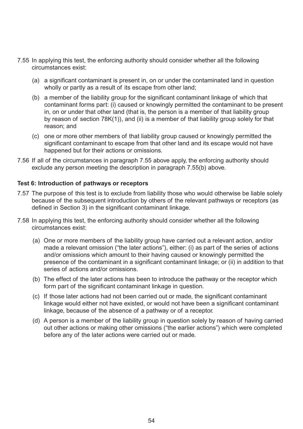- 7.55 In applying this test, the enforcing authority should consider whether all the following circumstances exist:
	- (a) a significant contaminant is present in, on or under the contaminated land in question wholly or partly as a result of its escape from other land;
	- (b) a member of the liability group for the significant contaminant linkage of which that contaminant forms part: (i) caused or knowingly permitted the contaminant to be present in, on or under that other land (that is, the person is a member of that liability group by reason of section 78K(1)), and (ii) is a member of that liability group solely for that reason; and
	- (c) one or more other members of that liability group caused or knowingly permitted the significant contaminant to escape from that other land and its escape would not have happened but for their actions or omissions.
- 7.56 If all of the circumstances in paragraph 7.55 above apply, the enforcing authority should exclude any person meeting the description in paragraph 7.55(b) above.

### **Test 6: Introduction of pathways or receptors**

- 7.57 The purpose of this test is to exclude from liability those who would otherwise be liable solely because of the subsequent introduction by others of the relevant pathways or receptors (as defined in Section 3) in the significant contaminant linkage.
- 7.58 In applying this test, the enforcing authority should consider whether all the following circumstances exist:
	- (a) One or more members of the liability group have carried out a relevant action, and/or made a relevant omission ("the later actions"), either: (i) as part of the series of actions and/or omissions which amount to their having caused or knowingly permitted the presence of the contaminant in a significant contaminant linkage; or (ii) in addition to that series of actions and/or omissions.
	- (b) The effect of the later actions has been to introduce the pathway or the receptor which form part of the significant contaminant linkage in question.
	- (c) If those later actions had not been carried out or made, the significant contaminant linkage would either not have existed, or would not have been a significant contaminant linkage, because of the absence of a pathway or of a receptor.
	- (d) A person is a member of the liability group in question solely by reason of having carried out other actions or making other omissions ("the earlier actions") which were completed before any of the later actions were carried out or made.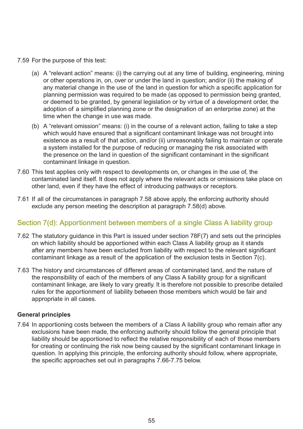7.59 For the purpose of this test:

- (a) A "relevant action" means: (i) the carrying out at any time of building, engineering, mining or other operations in, on, over or under the land in question; and/or (ii) the making of any material change in the use of the land in question for which a specific application for planning permission was required to be made (as opposed to permission being granted, or deemed to be granted, by general legislation or by virtue of a development order, the adoption of a simplified planning zone or the designation of an enterprise zone) at the time when the change in use was made.
- (b) A "relevant omission" means: (i) in the course of a relevant action, failing to take a step which would have ensured that a significant contaminant linkage was not brought into existence as a result of that action, and/or (ii) unreasonably failing to maintain or operate a system installed for the purpose of reducing or managing the risk associated with the presence on the land in question of the significant contaminant in the significant contaminant linkage in question.
- 7.60 This test applies only with respect to developments on, or changes in the use of, the contaminated land itself. It does not apply where the relevant acts or omissions take place on other land, even if they have the effect of introducing pathways or receptors.
- 7.61 If all of the circumstances in paragraph 7.58 above apply, the enforcing authority should exclude any person meeting the description at paragraph 7.58(d) above.

## Section 7(d): Apportionment between members of a single Class A liability group

- 7.62 The statutory guidance in this Part is issued under section 78F(7) and sets out the principles on which liability should be apportioned within each Class A liability group as it stands after any members have been excluded from liability with respect to the relevant significant contaminant linkage as a result of the application of the exclusion tests in Section 7(c).
- 7.63 The history and circumstances of different areas of contaminated land, and the nature of the responsibility of each of the members of any Class A liability group for a significant contaminant linkage, are likely to vary greatly. It is therefore not possible to prescribe detailed rules for the apportionment of liability between those members which would be fair and appropriate in all cases.

## **General principles**

7.64 In apportioning costs between the members of a Class A liability group who remain after any exclusions have been made, the enforcing authority should follow the general principle that liability should be apportioned to reflect the relative responsibility of each of those members for creating or continuing the risk now being caused by the significant contaminant linkage in question. In applying this principle, the enforcing authority should follow, where appropriate, the specific approaches set out in paragraphs 7.66-7.75 below.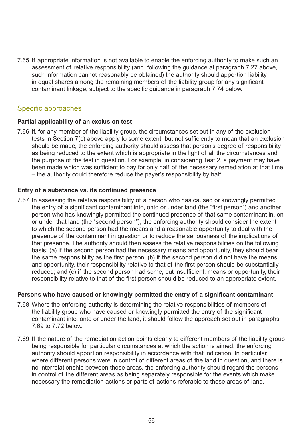7.65 If appropriate information is not available to enable the enforcing authority to make such an assessment of relative responsibility (and, following the guidance at paragraph 7.27 above, such information cannot reasonably be obtained) the authority should apportion liability in equal shares among the remaining members of the liability group for any significant contaminant linkage, subject to the specific guidance in paragraph 7.74 below.

## Specific approaches

### **Partial applicability of an exclusion test**

7.66 If, for any member of the liability group, the circumstances set out in any of the exclusion tests in Section 7(c) above apply to some extent, but not sufficiently to mean that an exclusion should be made, the enforcing authority should assess that person's degree of responsibility as being reduced to the extent which is appropriate in the light of all the circumstances and the purpose of the test in question. For example, in considering Test 2, a payment may have been made which was sufficient to pay for only half of the necessary remediation at that time – the authority could therefore reduce the payer's responsibility by half.

### **Entry of a substance vs. its continued presence**

7.67 In assessing the relative responsibility of a person who has caused or knowingly permitted the entry of a significant contaminant into, onto or under land (the "first person") and another person who has knowingly permitted the continued presence of that same contaminant in, on or under that land (the "second person"), the enforcing authority should consider the extent to which the second person had the means and a reasonable opportunity to deal with the presence of the contaminant in question or to reduce the seriousness of the implications of that presence. The authority should then assess the relative responsibilities on the following basis: (a) if the second person had the necessary means and opportunity, they should bear the same responsibility as the first person; (b) if the second person did not have the means and opportunity, their responsibility relative to that of the first person should be substantially reduced; and (c) if the second person had some, but insufficient, means or opportunity, their responsibility relative to that of the first person should be reduced to an appropriate extent.

### **Persons who have caused or knowingly permitted the entry of a significant contaminant**

- 7.68 Where the enforcing authority is determining the relative responsibilities of members of the liability group who have caused or knowingly permitted the entry of the significant contaminant into, onto or under the land, it should follow the approach set out in paragraphs 7.69 to 7.72 below.
- 7.69 If the nature of the remediation action points clearly to different members of the liability group being responsible for particular circumstances at which the action is aimed, the enforcing authority should apportion responsibility in accordance with that indication. In particular, where different persons were in control of different areas of the land in question, and there is no interrelationship between those areas, the enforcing authority should regard the persons in control of the different areas as being separately responsible for the events which make necessary the remediation actions or parts of actions referable to those areas of land.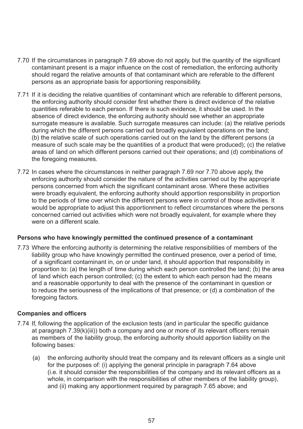- 7.70 If the circumstances in paragraph 7.69 above do not apply, but the quantity of the significant contaminant present is a major influence on the cost of remediation, the enforcing authority should regard the relative amounts of that contaminant which are referable to the different persons as an appropriate basis for apportioning responsibility.
- 7.71 If it is deciding the relative quantities of contaminant which are referable to different persons, the enforcing authority should consider first whether there is direct evidence of the relative quantities referable to each person. If there is such evidence, it should be used. In the absence of direct evidence, the enforcing authority should see whether an appropriate surrogate measure is available. Such surrogate measures can include: (a) the relative periods during which the different persons carried out broadly equivalent operations on the land; (b) the relative scale of such operations carried out on the land by the different persons (a measure of such scale may be the quantities of a product that were produced); (c) the relative areas of land on which different persons carried out their operations; and (d) combinations of the foregoing measures.
- 7.72 In cases where the circumstances in neither paragraph 7.69 nor 7.70 above apply, the enforcing authority should consider the nature of the activities carried out by the appropriate persons concerned from which the significant contaminant arose. Where these activities were broadly equivalent, the enforcing authority should apportion responsibility in proportion to the periods of time over which the different persons were in control of those activities. It would be appropriate to adjust this apportionment to reflect circumstances where the persons concerned carried out activities which were not broadly equivalent, for example where they were on a different scale.

### **Persons who have knowingly permitted the continued presence of a contaminant**

7.73 Where the enforcing authority is determining the relative responsibilities of members of the liability group who have knowingly permitted the continued presence, over a period of time, of a significant contaminant in, on or under land, it should apportion that responsibility in proportion to: (a) the length of time during which each person controlled the land; (b) the area of land which each person controlled; (c) the extent to which each person had the means and a reasonable opportunity to deal with the presence of the contaminant in question or to reduce the seriousness of the implications of that presence; or (d) a combination of the foregoing factors.

### **Companies and officers**

- 7.74 If, following the application of the exclusion tests (and in particular the specific guidance at paragraph 7.39(k)(iii)) both a company and one or more of its relevant officers remain as members of the liability group, the enforcing authority should apportion liability on the following bases:
	- (a) the enforcing authority should treat the company and its relevant officers as a single unit for the purposes of: (i) applying the general principle in paragraph 7.64 above (i.e. it should consider the responsibilities of the company and its relevant officers as a whole, in comparison with the responsibilities of other members of the liability group), and (ii) making any apportionment required by paragraph 7.65 above; and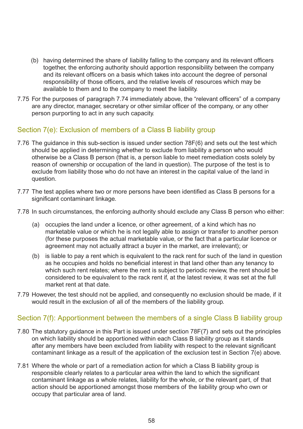- (b) having determined the share of liability falling to the company and its relevant officers together, the enforcing authority should apportion responsibility between the company and its relevant officers on a basis which takes into account the degree of personal responsibility of those officers, and the relative levels of resources which may be available to them and to the company to meet the liability.
- 7.75 For the purposes of paragraph 7.74 immediately above, the "relevant officers" of a company are any director, manager, secretary or other similar officer of the company, or any other person purporting to act in any such capacity.

## Section 7(e): Exclusion of members of a Class B liability group

- 7.76 The guidance in this sub-section is issued under section 78F(6) and sets out the test which should be applied in determining whether to exclude from liability a person who would otherwise be a Class B person (that is, a person liable to meet remediation costs solely by reason of ownership or occupation of the land in question). The purpose of the test is to exclude from liability those who do not have an interest in the capital value of the land in question.
- 7.77 The test applies where two or more persons have been identified as Class B persons for a significant contaminant linkage.
- 7.78 In such circumstances, the enforcing authority should exclude any Class B person who either:
	- (a) occupies the land under a licence, or other agreement, of a kind which has no marketable value or which he is not legally able to assign or transfer to another person (for these purposes the actual marketable value, or the fact that a particular licence or agreement may not actually attract a buyer in the market, are irrelevant); or
	- (b) is liable to pay a rent which is equivalent to the rack rent for such of the land in question as he occupies and holds no beneficial interest in that land other than any tenancy to which such rent relates; where the rent is subject to periodic review, the rent should be considered to be equivalent to the rack rent if, at the latest review, it was set at the full market rent at that date.
- 7.79 However, the test should not be applied, and consequently no exclusion should be made, if it would result in the exclusion of all of the members of the liability group.

## Section 7(f): Apportionment between the members of a single Class B liability group

- 7.80 The statutory guidance in this Part is issued under section 78F(7) and sets out the principles on which liability should be apportioned within each Class B liability group as it stands after any members have been excluded from liability with respect to the relevant significant contaminant linkage as a result of the application of the exclusion test in Section 7(e) above.
- 7.81 Where the whole or part of a remediation action for which a Class B liability group is responsible clearly relates to a particular area within the land to which the significant contaminant linkage as a whole relates, liability for the whole, or the relevant part, of that action should be apportioned amongst those members of the liability group who own or occupy that particular area of land.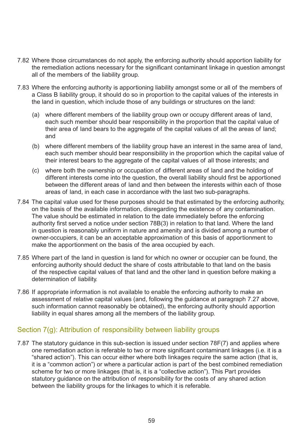- 7.82 Where those circumstances do not apply, the enforcing authority should apportion liability for the remediation actions necessary for the significant contaminant linkage in question amongst all of the members of the liability group.
- 7.83 Where the enforcing authority is apportioning liability amongst some or all of the members of a Class B liability group, it should do so in proportion to the capital values of the interests in the land in question, which include those of any buildings or structures on the land:
	- (a) where different members of the liability group own or occupy different areas of land, each such member should bear responsibility in the proportion that the capital value of their area of land bears to the aggregate of the capital values of all the areas of land; and
	- (b) where different members of the liability group have an interest in the same area of land, each such member should bear responsibility in the proportion which the capital value of their interest bears to the aggregate of the capital values of all those interests; and
	- (c) where both the ownership or occupation of different areas of land and the holding of different interests come into the question, the overall liability should first be apportioned between the different areas of land and then between the interests within each of those areas of land, in each case in accordance with the last two sub-paragraphs.
- 7.84 The capital value used for these purposes should be that estimated by the enforcing authority, on the basis of the available information, disregarding the existence of any contamination. The value should be estimated in relation to the date immediately before the enforcing authority first served a notice under section 78B(3) in relation to that land. Where the land in question is reasonably uniform in nature and amenity and is divided among a number of owner-occupiers, it can be an acceptable approximation of this basis of apportionment to make the apportionment on the basis of the area occupied by each.
- 7.85 Where part of the land in question is land for which no owner or occupier can be found, the enforcing authority should deduct the share of costs attributable to that land on the basis of the respective capital values of that land and the other land in question before making a determination of liability.
- 7.86 If appropriate information is not available to enable the enforcing authority to make an assessment of relative capital values (and, following the guidance at paragraph 7.27 above, such information cannot reasonably be obtained), the enforcing authority should apportion liability in equal shares among all the members of the liability group.

## Section 7(g): Attribution of responsibility between liability groups

7.87 The statutory guidance in this sub-section is issued under section 78F(7) and applies where one remediation action is referable to two or more significant contaminant linkages (i.e. it is a "shared action"). This can occur either where both linkages require the same action (that is, it is a "common action") or where a particular action is part of the best combined remediation scheme for two or more linkages (that is, it is a "collective action"). This Part provides statutory guidance on the attribution of responsibility for the costs of any shared action between the liability groups for the linkages to which it is referable.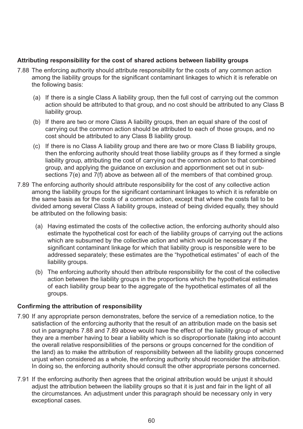### **Attributing responsibility for the cost of shared actions between liability groups**

- 7.88 The enforcing authority should attribute responsibility for the costs of any common action among the liability groups for the significant contaminant linkages to which it is referable on the following basis:
	- (a) If there is a single Class A liability group, then the full cost of carrying out the common action should be attributed to that group, and no cost should be attributed to any Class B liability group.
	- (b) If there are two or more Class A liability groups, then an equal share of the cost of carrying out the common action should be attributed to each of those groups, and no cost should be attributed to any Class B liability group.
	- (c) If there is no Class A liability group and there are two or more Class B liability groups, then the enforcing authority should treat those liability groups as if they formed a single liability group, attributing the cost of carrying out the common action to that combined group, and applying the guidance on exclusion and apportionment set out in subsections 7(e) and 7(f) above as between all of the members of that combined group.
- 7.89 The enforcing authority should attribute responsibility for the cost of any collective action among the liability groups for the significant contaminant linkages to which it is referable on the same basis as for the costs of a common action, except that where the costs fall to be divided among several Class A liability groups, instead of being divided equally, they should be attributed on the following basis:
	- (a) Having estimated the costs of the collective action, the enforcing authority should also estimate the hypothetical cost for each of the liability groups of carrying out the actions which are subsumed by the collective action and which would be necessary if the significant contaminant linkage for which that liability group is responsible were to be addressed separately; these estimates are the "hypothetical estimates" of each of the liability groups.
	- (b) The enforcing authority should then attribute responsibility for the cost of the collective action between the liability groups in the proportions which the hypothetical estimates of each liability group bear to the aggregate of the hypothetical estimates of all the groups.

## **Confirming the attribution of responsibility**

- 7.90 If any appropriate person demonstrates, before the service of a remediation notice, to the satisfaction of the enforcing authority that the result of an attribution made on the basis set out in paragraphs 7.88 and 7.89 above would have the effect of the liability group of which they are a member having to bear a liability which is so disproportionate (taking into account the overall relative responsibilities of the persons or groups concerned for the condition of the land) as to make the attribution of responsibility between all the liability groups concerned unjust when considered as a whole, the enforcing authority should reconsider the attribution. In doing so, the enforcing authority should consult the other appropriate persons concerned.
- 7.91 If the enforcing authority then agrees that the original attribution would be unjust it should adjust the attribution between the liability groups so that it is just and fair in the light of all the circumstances. An adjustment under this paragraph should be necessary only in very exceptional cases.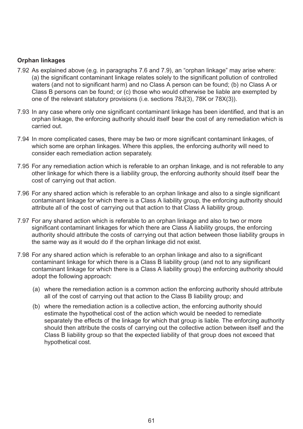### **Orphan linkages**

- 7.92 As explained above (e.g. in paragraphs 7.6 and 7.9), an "orphan linkage" may arise where: (a) the significant contaminant linkage relates solely to the significant pollution of controlled waters (and not to significant harm) and no Class A person can be found; (b) no Class A or Class B persons can be found; or (c) those who would otherwise be liable are exempted by one of the relevant statutory provisions (i.e. sections 78J(3), 78K or 78X(3)).
- 7.93 In any case where only one significant contaminant linkage has been identified, and that is an orphan linkage, the enforcing authority should itself bear the cost of any remediation which is carried out.
- 7.94 In more complicated cases, there may be two or more significant contaminant linkages, of which some are orphan linkages. Where this applies, the enforcing authority will need to consider each remediation action separately.
- 7.95 For any remediation action which is referable to an orphan linkage, and is not referable to any other linkage for which there is a liability group, the enforcing authority should itself bear the cost of carrying out that action.
- 7.96 For any shared action which is referable to an orphan linkage and also to a single significant contaminant linkage for which there is a Class A liability group, the enforcing authority should attribute all of the cost of carrying out that action to that Class A liability group.
- 7.97 For any shared action which is referable to an orphan linkage and also to two or more significant contaminant linkages for which there are Class A liability groups, the enforcing authority should attribute the costs of carrying out that action between those liability groups in the same way as it would do if the orphan linkage did not exist.
- 7.98 For any shared action which is referable to an orphan linkage and also to a significant contaminant linkage for which there is a Class B liability group (and not to any significant contaminant linkage for which there is a Class A liability group) the enforcing authority should adopt the following approach:
	- (a) where the remediation action is a common action the enforcing authority should attribute all of the cost of carrying out that action to the Class B liability group; and
	- (b) where the remediation action is a collective action, the enforcing authority should estimate the hypothetical cost of the action which would be needed to remediate separately the effects of the linkage for which that group is liable. The enforcing authority should then attribute the costs of carrying out the collective action between itself and the Class B liability group so that the expected liability of that group does not exceed that hypothetical cost.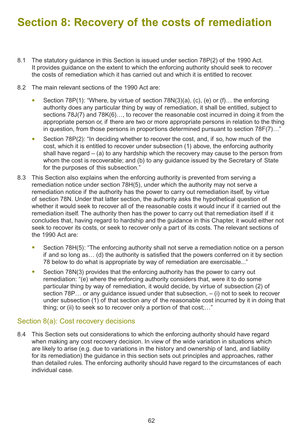## <span id="page-63-0"></span>**Section 8: Recovery of the costs of remediation**

- 8.1 The statutory guidance in this Section is issued under section 78P(2) of the 1990 Act. It provides guidance on the extent to which the enforcing authority should seek to recover the costs of remediation which it has carried out and which it is entitled to recover.
- 8.2 The main relevant sections of the 1990 Act are:
	- Section 78P(1): "Where, by virtue of section 78N(3)(a), (c), (e) or (f)… the enforcing authority does any particular thing by way of remediation, it shall be entitled, subject to sections 78J(7) and 78K(6)…, to recover the reasonable cost incurred in doing it from the appropriate person or, if there are two or more appropriate persons in relation to the thing in question, from those persons in proportions determined pursuant to section 78F(7)…"
	- Section 78P(2): "In deciding whether to recover the cost, and, if so, how much of the cost, which it is entitled to recover under subsection (1) above, the enforcing authority shall have regard – (a) to any hardship which the recovery may cause to the person from whom the cost is recoverable; and (b) to any guidance issued by the Secretary of State for the purposes of this subsection."
- 8.3 This Section also explains when the enforcing authority is prevented from serving a remediation notice under section 78H(5), under which the authority may not serve a remediation notice if the authority has the power to carry out remediation itself, by virtue of section 78N. Under that latter section, the authority asks the hypothetical question of whether it would seek to recover all of the reasonable costs it would incur if it carried out the remediation itself. The authority then has the power to carry out that remediation itself if it concludes that, having regard to hardship and the guidance in this Chapter, it would either not seek to recover its costs, or seek to recover only a part of its costs. The relevant sections of the 1990 Act are:
	- Section 78H(5): "The enforcing authority shall not serve a remediation notice on a person if and so long as… (d) the authority is satisfied that the powers conferred on it by section 78 below to do what is appropriate by way of remediation are exercisable..."
	- Section 78N(3) provides that the enforcing authority has the power to carry out remediation: "(e) where the enforcing authority considers that, were it to do some particular thing by way of remediation, it would decide, by virtue of subsection (2) of section 78P… or any guidance issued under that subsection, – (i) not to seek to recover under subsection (1) of that section any of the reasonable cost incurred by it in doing that thing; or (ii) to seek so to recover only a portion of that cost;…"

## Section 8(a): Cost recovery decisions

8.4 This Section sets out considerations to which the enforcing authority should have regard when making any cost recovery decision. In view of the wide variation in situations which are likely to arise (e.g. due to variations in the history and ownership of land, and liability for its remediation) the guidance in this section sets out principles and approaches, rather than detailed rules. The enforcing authority should have regard to the circumstances of each individual case.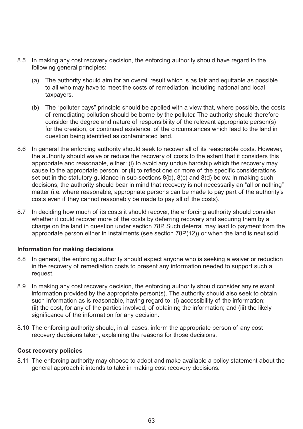- 8.5 In making any cost recovery decision, the enforcing authority should have regard to the following general principles:
	- (a) The authority should aim for an overall result which is as fair and equitable as possible to all who may have to meet the costs of remediation, including national and local taxpayers.
	- (b) The "polluter pays" principle should be applied with a view that, where possible, the costs of remediating pollution should be borne by the polluter. The authority should therefore consider the degree and nature of responsibility of the relevant appropriate person(s) for the creation, or continued existence, of the circumstances which lead to the land in question being identified as contaminated land.
- 8.6 In general the enforcing authority should seek to recover all of its reasonable costs. However, the authority should waive or reduce the recovery of costs to the extent that it considers this appropriate and reasonable, either: (i) to avoid any undue hardship which the recovery may cause to the appropriate person; or (ii) to reflect one or more of the specific considerations set out in the statutory guidance in sub-sections 8(b), 8(c) and 8(d) below. In making such decisions, the authority should bear in mind that recovery is not necessarily an "all or nothing" matter (i.e. where reasonable, appropriate persons can be made to pay part of the authority's costs even if they cannot reasonably be made to pay all of the costs).
- 8.7 In deciding how much of its costs it should recover, the enforcing authority should consider whether it could recover more of the costs by deferring recovery and securing them by a charge on the land in question under section 78P. Such deferral may lead to payment from the appropriate person either in instalments (see section 78P(12)) or when the land is next sold.

### **Information for making decisions**

- 8.8 In general, the enforcing authority should expect anyone who is seeking a waiver or reduction in the recovery of remediation costs to present any information needed to support such a request.
- 8.9 In making any cost recovery decision, the enforcing authority should consider any relevant information provided by the appropriate person(s). The authority should also seek to obtain such information as is reasonable, having regard to: (i) accessibility of the information; (ii) the cost, for any of the parties involved, of obtaining the information; and (iii) the likely significance of the information for any decision.
- 8.10 The enforcing authority should, in all cases, inform the appropriate person of any cost recovery decisions taken, explaining the reasons for those decisions.

### **Cost recovery policies**

8.11 The enforcing authority may choose to adopt and make available a policy statement about the general approach it intends to take in making cost recovery decisions.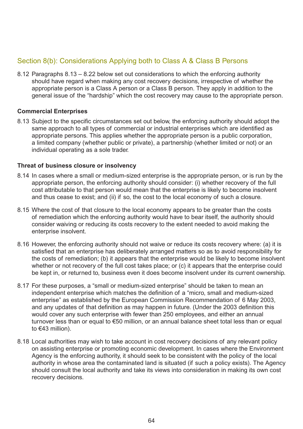## Section 8(b): Considerations Applying both to Class A & Class B Persons

8.12 Paragraphs 8.13 – 8.22 below set out considerations to which the enforcing authority should have regard when making any cost recovery decisions, irrespective of whether the appropriate person is a Class A person or a Class B person. They apply in addition to the general issue of the "hardship" which the cost recovery may cause to the appropriate person.

### **Commercial Enterprises**

8.13 Subject to the specific circumstances set out below, the enforcing authority should adopt the same approach to all types of commercial or industrial enterprises which are identified as appropriate persons. This applies whether the appropriate person is a public corporation, a limited company (whether public or private), a partnership (whether limited or not) or an individual operating as a sole trader.

### **Threat of business closure or insolvency**

- 8.14 In cases where a small or medium-sized enterprise is the appropriate person, or is run by the appropriate person, the enforcing authority should consider: (i) whether recovery of the full cost attributable to that person would mean that the enterprise is likely to become insolvent and thus cease to exist; and (ii) if so, the cost to the local economy of such a closure.
- 8.15 Where the cost of that closure to the local economy appears to be greater than the costs of remediation which the enforcing authority would have to bear itself, the authority should consider waiving or reducing its costs recovery to the extent needed to avoid making the enterprise insolvent.
- 8.16 However, the enforcing authority should not waive or reduce its costs recovery where: (a) it is satisfied that an enterprise has deliberately arranged matters so as to avoid responsibility for the costs of remediation; (b) it appears that the enterprise would be likely to become insolvent whether or not recovery of the full cost takes place; or (c) it appears that the enterprise could be kept in, or returned to, business even it does become insolvent under its current ownership.
- 8.17 For these purposes, a "small or medium-sized enterprise" should be taken to mean an independent enterprise which matches the definition of a "micro, small and medium-sized enterprise" as established by the European Commission Recommendation of 6 May 2003, and any updates of that definition as may happen in future. (Under the 2003 definition this would cover any such enterprise with fewer than 250 employees, and either an annual turnover less than or equal to €50 million, or an annual balance sheet total less than or equal to €43 million).
- 8.18 Local authorities may wish to take account in cost recovery decisions of any relevant policy on assisting enterprise or promoting economic development. In cases where the Environment Agency is the enforcing authority, it should seek to be consistent with the policy of the local authority in whose area the contaminated land is situated (if such a policy exists). The Agency should consult the local authority and take its views into consideration in making its own cost recovery decisions.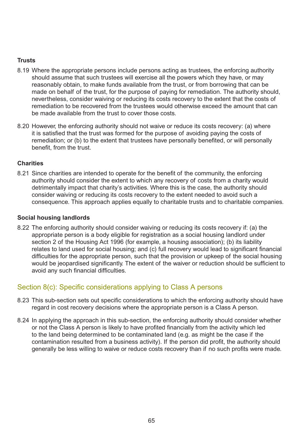### **Trusts**

- 8.19 Where the appropriate persons include persons acting as trustees, the enforcing authority should assume that such trustees will exercise all the powers which they have, or may reasonably obtain, to make funds available from the trust, or from borrowing that can be made on behalf of the trust, for the purpose of paying for remediation. The authority should, nevertheless, consider waiving or reducing its costs recovery to the extent that the costs of remediation to be recovered from the trustees would otherwise exceed the amount that can be made available from the trust to cover those costs.
- 8.20 However, the enforcing authority should not waive or reduce its costs recovery: (a) where it is satisfied that the trust was formed for the purpose of avoiding paying the costs of remediation; or (b) to the extent that trustees have personally benefited, or will personally benefit, from the trust.

### **Charities**

8.21 Since charities are intended to operate for the benefit of the community, the enforcing authority should consider the extent to which any recovery of costs from a charity would detrimentally impact that charity's activities. Where this is the case, the authority should consider waiving or reducing its costs recovery to the extent needed to avoid such a consequence. This approach applies equally to charitable trusts and to charitable companies.

### **Social housing landlords**

8.22 The enforcing authority should consider waiving or reducing its costs recovery if: (a) the appropriate person is a body eligible for registration as a social housing landlord under section 2 of the Housing Act 1996 (for example, a housing association); (b) its liability relates to land used for social housing; and (c) full recovery would lead to significant financial difficulties for the appropriate person, such that the provision or upkeep of the social housing would be jeopardised significantly. The extent of the waiver or reduction should be sufficient to avoid any such financial difficulties.

## Section 8(c): Specific considerations applying to Class A persons

- 8.23 This sub-section sets out specific considerations to which the enforcing authority should have regard in cost recovery decisions where the appropriate person is a Class A person.
- 8.24 In applying the approach in this sub-section, the enforcing authority should consider whether or not the Class A person is likely to have profited financially from the activity which led to the land being determined to be contaminated land (e.g. as might be the case if the contamination resulted from a business activity). If the person did profit, the authority should generally be less willing to waive or reduce costs recovery than if no such profits were made.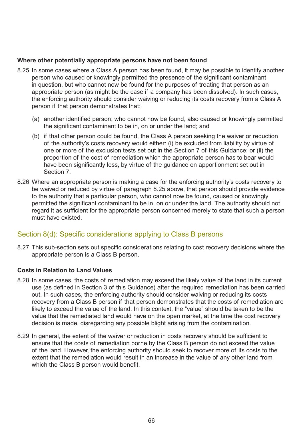### **Where other potentially appropriate persons have not been found**

- 8.25 In some cases where a Class A person has been found, it may be possible to identify another person who caused or knowingly permitted the presence of the significant contaminant in question, but who cannot now be found for the purposes of treating that person as an appropriate person (as might be the case if a company has been dissolved). In such cases, the enforcing authority should consider waiving or reducing its costs recovery from a Class A person if that person demonstrates that:
	- (a) another identified person, who cannot now be found, also caused or knowingly permitted the significant contaminant to be in, on or under the land; and
	- (b) if that other person could be found, the Class A person seeking the waiver or reduction of the authority's costs recovery would either: (i) be excluded from liability by virtue of one or more of the exclusion tests set out in the Section 7 of this Guidance; or (ii) the proportion of the cost of remediation which the appropriate person has to bear would have been significantly less, by virtue of the guidance on apportionment set out in Section 7.
- 8.26 Where an appropriate person is making a case for the enforcing authority's costs recovery to be waived or reduced by virtue of paragraph 8.25 above, that person should provide evidence to the authority that a particular person, who cannot now be found, caused or knowingly permitted the significant contaminant to be in, on or under the land. The authority should not regard it as sufficient for the appropriate person concerned merely to state that such a person must have existed.

## Section 8(d): Specific considerations applying to Class B persons

8.27 This sub-section sets out specific considerations relating to cost recovery decisions where the appropriate person is a Class B person.

### **Costs in Relation to Land Values**

- 8.28 In some cases, the costs of remediation may exceed the likely value of the land in its current use (as defined in Section 3 of this Guidance) after the required remediation has been carried out. In such cases, the enforcing authority should consider waiving or reducing its costs recovery from a Class B person if that person demonstrates that the costs of remediation are likely to exceed the value of the land. In this context, the "value" should be taken to be the value that the remediated land would have on the open market, at the time the cost recovery decision is made, disregarding any possible blight arising from the contamination.
- 8.29 In general, the extent of the waiver or reduction in costs recovery should be sufficient to ensure that the costs of remediation borne by the Class B person do not exceed the value of the land. However, the enforcing authority should seek to recover more of its costs to the extent that the remediation would result in an increase in the value of any other land from which the Class B person would benefit.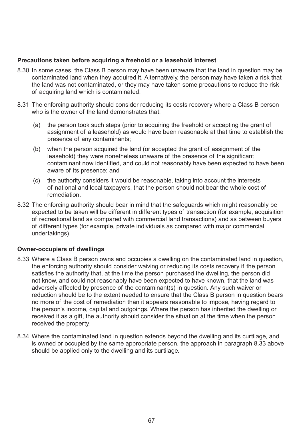### **Precautions taken before acquiring a freehold or a leasehold interest**

- 8.30 In some cases, the Class B person may have been unaware that the land in question may be contaminated land when they acquired it. Alternatively, the person may have taken a risk that the land was not contaminated, or they may have taken some precautions to reduce the risk of acquiring land which is contaminated.
- 8.31 The enforcing authority should consider reducing its costs recovery where a Class B person who is the owner of the land demonstrates that:
	- (a) the person took such steps (prior to acquiring the freehold or accepting the grant of assignment of a leasehold) as would have been reasonable at that time to establish the presence of any contaminants;
	- (b) when the person acquired the land (or accepted the grant of assignment of the leasehold) they were nonetheless unaware of the presence of the significant contaminant now identified, and could not reasonably have been expected to have been aware of its presence; and
	- (c) the authority considers it would be reasonable, taking into account the interests of national and local taxpayers, that the person should not bear the whole cost of remediation.
- 8.32 The enforcing authority should bear in mind that the safeguards which might reasonably be expected to be taken will be different in different types of transaction (for example, acquisition of recreational land as compared with commercial land transactions) and as between buyers of different types (for example, private individuals as compared with major commercial undertakings).

### **Owner-occupiers of dwellings**

- 8.33 Where a Class B person owns and occupies a dwelling on the contaminated land in question, the enforcing authority should consider waiving or reducing its costs recovery if the person satisfies the authority that, at the time the person purchased the dwelling, the person did not know, and could not reasonably have been expected to have known, that the land was adversely affected by presence of the contaminant(s) in question. Any such waiver or reduction should be to the extent needed to ensure that the Class B person in question bears no more of the cost of remediation than it appears reasonable to impose, having regard to the person's income, capital and outgoings. Where the person has inherited the dwelling or received it as a gift, the authority should consider the situation at the time when the person received the property.
- 8.34 Where the contaminated land in question extends beyond the dwelling and its curtilage, and is owned or occupied by the same appropriate person, the approach in paragraph 8.33 above should be applied only to the dwelling and its curtilage.